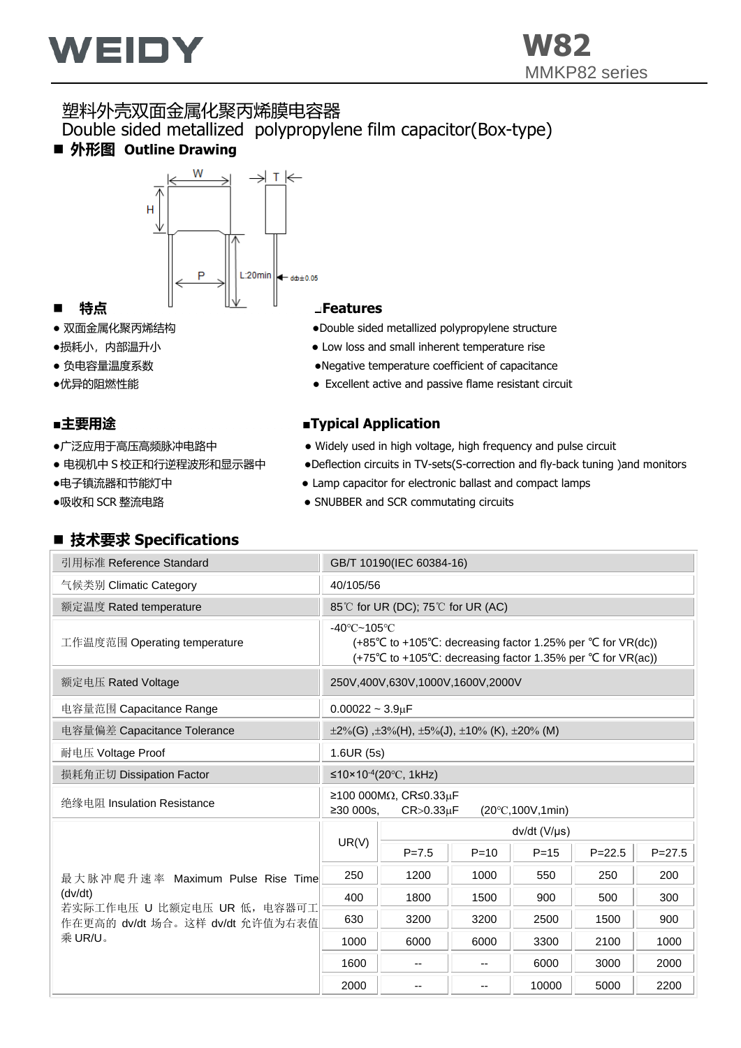

## 塑料外壳双面金属化聚丙烯膜电容器 Double sided metallized polypropylene film capacitor(Box-type) ■ 外形图 Outline Drawing



- 
- 
- 
- 
- 

- 
- 
- 
- 

## ◼ **技术要求 Specifications**

- 双面金属化聚丙烯结构 → → → → → → → → → Double sided metallized polypropylene structure
- ●损耗小, 内部温升小 → → Low loss and small inherent temperature rise
- 负电容量温度系数 ●Negative temperature coefficient of capacitance
- ●优异的阻燃性能 <br>● Excellent active and passive flame resistant circuit

### ■主要用途 ■Typical Application

- ●广泛应用于高压高频脉冲电路中 → Widely used in high voltage, high frequency and pulse circuit
- 电视机中 S 校正和行逆程波形和显示器中 → ●Deflection circuits in TV-sets(S-correction and fly-back tuning )and monitors
- ●电子镇流器和节能灯中 → Lamp capacitor for electronic ballast and compact lamps
- ●吸收和 SCR 整流电路 ● SNUBBER and SCR commutating circuits

| 引用标准 Reference Standard                                        | GB/T 10190(IEC 60384-16)                                                                                                                                                                                  |                       |          |          |            |            |  |  |  |  |
|----------------------------------------------------------------|-----------------------------------------------------------------------------------------------------------------------------------------------------------------------------------------------------------|-----------------------|----------|----------|------------|------------|--|--|--|--|
| 气候类别 Climatic Category                                         | 40/105/56                                                                                                                                                                                                 |                       |          |          |            |            |  |  |  |  |
| 额定温度 Rated temperature                                         | 85℃ for UR (DC); 75℃ for UR (AC)                                                                                                                                                                          |                       |          |          |            |            |  |  |  |  |
| 工作温度范围 Operating temperature                                   | $-40^{\circ}$ C $-105^{\circ}$ C<br>(+85 <sup>°</sup> C to +105 <sup>°</sup> C: decreasing factor 1.25% per <sup>°</sup> C for $VR(dc)$ )<br>(+75°C to +105°C: decreasing factor 1.35% per °C for VR(ac)) |                       |          |          |            |            |  |  |  |  |
| 额定电压 Rated Voltage                                             | 250V,400V,630V,1000V,1600V,2000V                                                                                                                                                                          |                       |          |          |            |            |  |  |  |  |
| 电容量范围 Capacitance Range                                        | $0.00022 - 3.9 \mu F$                                                                                                                                                                                     |                       |          |          |            |            |  |  |  |  |
| 电容量偏差 Capacitance Tolerance                                    | $\pm 2\%$ (G), $\pm 3\%$ (H), $\pm 5\%$ (J), $\pm 10\%$ (K), $\pm 20\%$ (M)                                                                                                                               |                       |          |          |            |            |  |  |  |  |
| 耐电压 Voltage Proof                                              | 1.6UR(5s)                                                                                                                                                                                                 |                       |          |          |            |            |  |  |  |  |
| 损耗角正切 Dissipation Factor                                       | ≤10×10 <sup>-4</sup> (20 °C, 1kHz)                                                                                                                                                                        |                       |          |          |            |            |  |  |  |  |
| 绝缘电阻 Insulation Resistance                                     | $≥100000MΩ$ , CR≤0.33μF<br>≥30000s.<br>$CR > 0.33 \mu F$<br>$(20^{\circ}$ C,100V,1min)                                                                                                                    |                       |          |          |            |            |  |  |  |  |
|                                                                |                                                                                                                                                                                                           | $dv/dt$ (V/ $\mu s$ ) |          |          |            |            |  |  |  |  |
|                                                                | UR(V)                                                                                                                                                                                                     | $P = 7.5$             | $P = 10$ | $P = 15$ | $P = 22.5$ | $P = 27.5$ |  |  |  |  |
| 最大脉冲爬升速率 Maximum Pulse Rise Time                               | 250                                                                                                                                                                                                       | 1200                  | 1000     | 550      | 250        | 200        |  |  |  |  |
| (dv/dt)                                                        | 400                                                                                                                                                                                                       | 1800                  | 1500     | 900      | 500        | 300        |  |  |  |  |
| 若实际工作电压 U 比额定电压 UR 低, 电容器可工<br>作在更高的 dv/dt 场合。这样 dv/dt 允许值为右表值 | 630                                                                                                                                                                                                       | 3200                  | 3200     | 2500     | 1500       | 900        |  |  |  |  |
| 乘 UR/U。                                                        | 1000                                                                                                                                                                                                      | 6000                  | 6000     | 3300     | 2100       | 1000       |  |  |  |  |
|                                                                | 1600                                                                                                                                                                                                      | --                    |          | 6000     | 3000       | 2000       |  |  |  |  |
|                                                                | 2000                                                                                                                                                                                                      | --                    | --       | 10000    | 5000       | 2200       |  |  |  |  |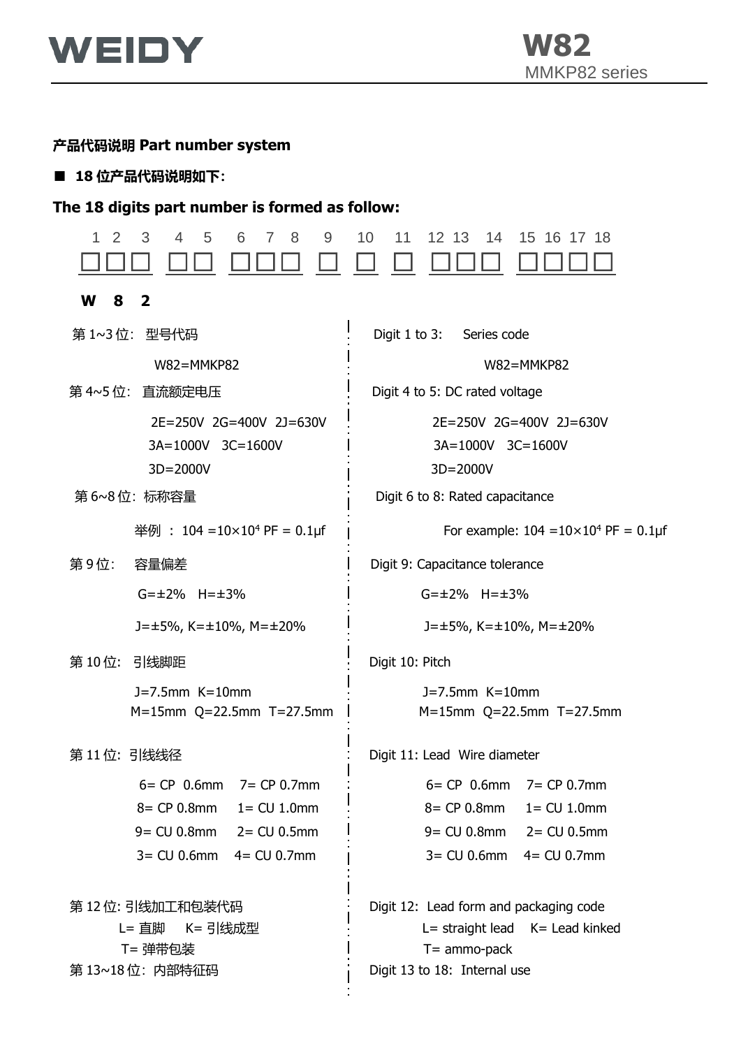

## **产品代码说明 Part number system**

■ **18 位产品代码说明如下:**

## **The 18 digits part number is formed as follow:**

| 2<br>3<br>$\overline{4}$<br>5<br>9<br>1<br>6<br>8<br>7                                                                             | 10<br>11<br>12 13<br>14<br>15 16 17 18                                                                                                 |
|------------------------------------------------------------------------------------------------------------------------------------|----------------------------------------------------------------------------------------------------------------------------------------|
| W<br>8<br>$\mathbf{2}$                                                                                                             |                                                                                                                                        |
| 第 1~3位: 型号代码                                                                                                                       | Digit 1 to 3:<br>Series code                                                                                                           |
| W82=MMKP82                                                                                                                         | W82=MMKP82                                                                                                                             |
| 第 4~5 位:直流额定电压                                                                                                                     | Digit 4 to 5: DC rated voltage                                                                                                         |
| 2E=250V 2G=400V 2J=630V<br>3A=1000V 3C=1600V<br>3D=2000V                                                                           | 2E=250V 2G=400V 2J=630V<br>3A=1000V 3C=1600V<br>3D=2000V                                                                               |
| 第6~8位:标称容量                                                                                                                         | Digit 6 to 8: Rated capacitance                                                                                                        |
| 举例: $104 = 10 \times 10^4$ PF = 0.1µf                                                                                              | For example: $104 = 10 \times 10^4$ PF = 0.1µf                                                                                         |
| 第9位:<br>容量偏差                                                                                                                       | Digit 9: Capacitance tolerance                                                                                                         |
| $G = \pm 2\%$ H= $\pm 3\%$                                                                                                         | $G = \pm 2\%$ H= $\pm 3\%$                                                                                                             |
| $J = \pm 5\%$ , K= $\pm 10\%$ , M= $\pm 20\%$                                                                                      | $J = \pm 5\%$ , K= $\pm 10\%$ , M= $\pm 20\%$                                                                                          |
| 第10位: 引线脚距                                                                                                                         | Digit 10: Pitch                                                                                                                        |
| $J=7.5$ mm $K=10$ mm<br>$M = 15$ mm Q=22.5mm T=27.5mm                                                                              | $J=7.5$ mm $K=10$ mm<br>M=15mm Q=22.5mm T=27.5mm                                                                                       |
| 第11位:引线线径                                                                                                                          | Digit 11: Lead Wire diameter                                                                                                           |
| $6=$ CP 0.6mm $7=$ CP 0.7mm<br>$8 = CP 0.8$ mm $1 = CU 1.0$ mm<br>$9 = CU 0.8$ mm $2 = CU 0.5$ mm<br>$3 = CU 0.6mm$ $4 = CU 0.7mm$ | $6 = CP$ 0.6mm $7 = CP$ 0.7mm<br>$8 = CP 0.8$ mm<br>$1 = CU 1.0mm$<br>$9 = CU 0.8mm$ 2 = $CU 0.5mm$<br>$3 = CU 0.6$ mm $4 = CU 0.7$ mm |
| 第 12 位: 引线加工和包装代码<br>L= 直脚 K= 引线成型<br>T= 弹带包装<br>第 13~18位: 内部特征码                                                                   | Digit 12: Lead form and packaging code<br>L= straight lead K= Lead kinked<br>$T =$ ammo-pack<br>Digit 13 to 18: Internal use           |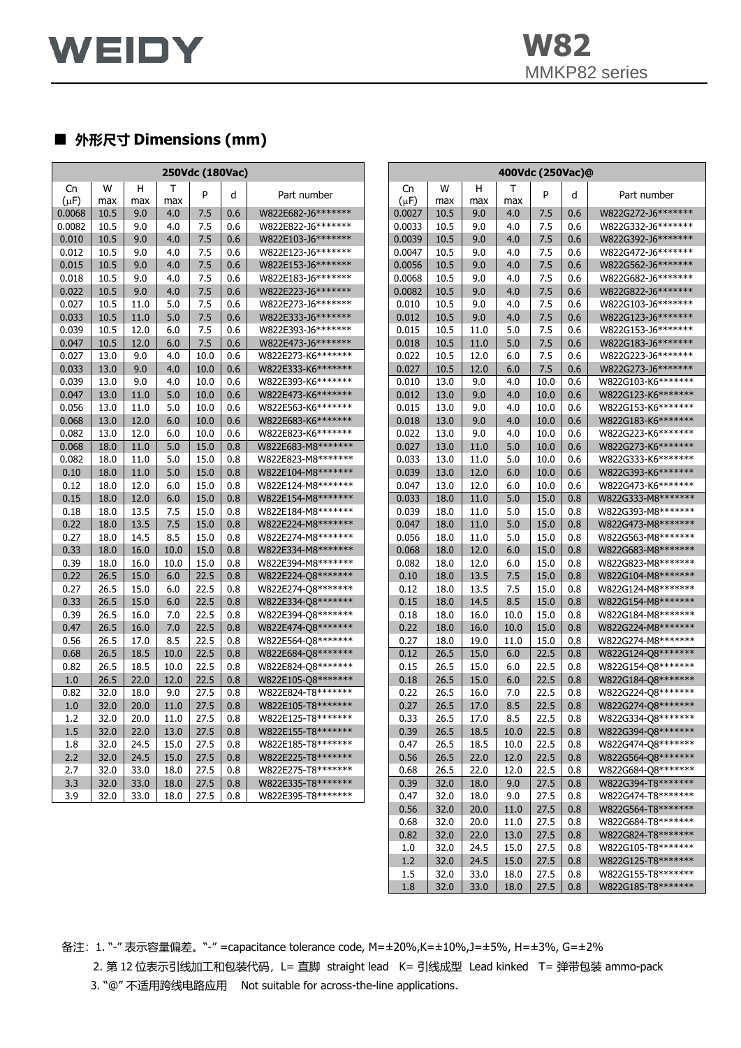

 $0.82$  | 32.0 | 22.0 | 13.0 | 27.5 | 0.8 | W822G824-T8\*\*\*\*\*\*\* 1.0 32.0 24.5 15.0 27.5 0.8 W822G105-T8\*\*\*\*\*\*\* 1.2 32.0 24.5 15.0 27.5 0.8 W822G125-T8\*\*\*\*\*\*\* 1.5 32.0 33.0 18.0 27.5 0.8 W822G155-T8\*\*\*\*\*\*\* 1.8 32.0 33.0 18.0 27.5 0.8 W822G185-T8\*\*\*\*\*\*\*

## ■ **外形尺寸 Dimensions (mm)**

| W<br>W<br>H<br>Cn<br>H<br>Cn<br>Τ<br>Τ<br>P<br>P<br>d<br>Part number<br>d<br>Part number<br>$(\mu F)$<br>(µF)<br>max<br>max<br>max<br>max<br>max<br>max<br>9.0<br>0.0027<br>0.0068<br>10.5<br>4.0<br>7.5<br>0.6<br>W822E682-J6*******<br>10.5<br>9.0<br>4.0<br>7.5<br>0.6<br>W822G272-J6*******<br>7.5<br>0.0082<br>10.5<br>9.0<br>4.0<br>7.5<br>0.6<br>W822E822-J6*******<br>0.0033<br>10.5<br>9.0<br>4.0<br>W822G332-J6*******<br>0.6<br>0.010<br>10.5<br>7.5<br>0.6<br>W822E103-J6*******<br>7.5<br>0.6<br>9.0<br>4.0<br>0.0039<br>10.5<br>9.0<br>4.0<br>W822G392-J6*******<br>7.5<br>7.5<br>0.012<br>10.5<br>9.0<br>4.0<br>0.6<br>W822E123-J6*******<br>0.0047<br>10.5<br>9.0<br>4.0<br>0.6<br>W822G472-J6*******<br>0.015<br>10.5<br>9.0<br>7.5<br>7.5<br>4.0<br>0.6<br>W822E153-J6*******<br>0.0056<br>10.5<br>9.0<br>4.0<br>0.6<br>W822G562-J6*******<br>0.018<br>7.5<br>7.5<br>10.5<br>9.0<br>4.0<br>0.6<br>W822E183-J6*******<br>0.0068<br>10.5<br>9.0<br>0.6<br>W822G682-J6*******<br>4.0<br>7.5<br>0.022<br>10.5<br>9.0<br>0.6<br>W822E223-J6*******<br>0.0082<br>7.5<br>0.6<br>4.0<br>10.5<br>9.0<br>4.0<br>W822G822-J6*******<br>0.027<br>7.5<br>7.5<br>10.5<br>11.0<br>5.0<br>0.6<br>W822E273-J6*******<br>0.010<br>10.5<br>9.0<br>0.6<br>W822G103-J6*******<br>4.0<br>7.5<br>7.5<br>0.033<br>10.5<br>11.0<br>5.0<br>0.6<br>W822E333-J6*******<br>0.012<br>10.5<br>9.0<br>4.0<br>0.6<br>W822G123-J6*******<br>0.039<br>12.0<br>7.5<br>7.5<br>10.5<br>6.0<br>0.6<br>W822E393-J6*******<br>0.015<br>10.5<br>11.0<br>5.0<br>0.6<br>W822G153-J6*******<br>0.047<br>10.5<br>12.0<br>7.5<br>0.6<br>10.5<br>7.5<br>0.6<br>6.0<br>W822E473-J6*******<br>0.018<br>11.0<br>5.0<br>W822G183-J6*******<br>0.027<br>13.0<br>9.0<br>10.0<br>0.6<br>W822E273-K6*******<br>0.022<br>10.5<br>7.5<br>W822G223-J6*******<br>4.0<br>12.0<br>6.0<br>0.6<br>9.0<br>0.027<br>7.5<br>0.033<br>13.0<br>4.0<br>10.0<br>0.6<br>W822E333-K6*******<br>10.5<br>12.0<br>6.0<br>0.6<br>W822G273-J6*******<br>0.039<br>13.0<br>W822E393-K6*******<br>13.0<br>9.0<br>4.0<br>9.0<br>4.0<br>10.0<br>0.6<br>0.010<br>10.0<br>0.6<br>W822G103-K6*******<br>0.047<br>10.0<br>W822E473-K6*******<br>13.0<br>11.0<br>5.0<br>0.6<br>0.012<br>13.0<br>9.0<br>4.0<br>10.0<br>0.6<br>W822G123-K6*******<br>0.056<br>13.0<br>10.0<br>W822E563-K6*******<br>0.015<br>13.0<br>9.0<br>10.0<br>W822G153-K6*******<br>11.0<br>5.0<br>0.6<br>4.0<br>0.6<br>0.068<br>13.0<br>12.0<br>6.0<br>10.0<br>0.6<br>W822E683-K6*******<br>0.018<br>13.0<br>9.0<br>4.0<br>10.0<br>0.6<br>W822G183-K6*******<br>0.082<br>0.6<br>13.0<br>12.0<br>6.0<br>10.0<br>W822E823-K6*******<br>0.022<br>13.0<br>9.0<br>4.0<br>10.0<br>0.6<br>W822G223-K6*******<br>0.027<br>0.068<br>18.0<br>11.0<br>5.0<br>15.0<br>0.8<br>W822E683-M8*******<br>13.0<br>11.0<br>5.0<br>10.0<br>0.6<br>W822G273-K6*******<br>15.0<br>W822E823-M8*******<br>5.0<br>W822G333-K6*******<br>0.082<br>18.0<br>11.0<br>5.0<br>0.8<br>0.033<br>13.0<br>11.0<br>10.0<br>0.6<br>15.0<br>0.8<br>W822E104-M8*******<br>0.039<br>13.0<br>12.0<br>W822G393-K6*******<br>0.10<br>18.0<br>11.0<br>5.0<br>6.0<br>10.0<br>0.6<br>0.12<br>18.0<br>12.0<br>15.0<br>0.8<br>13.0<br>0.6<br>6.0<br>W822E124-M8*******<br>0.047<br>12.0<br>6.0<br>10.0<br>W822G473-K6*******<br>0.15<br>15.0<br>0.8<br>W822E154-M8*******<br>0.033<br>5.0<br>18.0<br>12.0<br>6.0<br>18.0<br>11.0<br>15.0<br>0.8<br>W822G333-M8*******<br>18.0<br>13.5<br>7.5<br>15.0<br>0.8<br>5.0<br>15.0<br>0.18<br>W822E184-M8*******<br>0.039<br>18.0<br>11.0<br>0.8<br>W822G393-M8*******<br>0.22<br>13.5<br>7.5<br>15.0<br>0.8<br>W822E224-M8*******<br>0.047<br>18.0<br>0.8<br>18.0<br>11.0<br>5.0<br>15.0<br>W822G473-M8*******<br>0.27<br>18.0<br>14.5<br>8.5<br>15.0<br>0.8<br>W822E274-M8*******<br>0.056<br>18.0<br>5.0<br>15.0<br>0.8<br>11.0<br>W822G563-M8*******<br>0.33<br>18.0<br>16.0<br>10.0<br>15.0<br>0.8<br>0.068<br>12.0<br>15.0<br>0.8<br>W822E334-M8*******<br>18.0<br>6.0<br>W822G683-M8*******<br>0.39<br>10.0<br>15.0<br>0.8<br>0.082<br>18.0<br>12.0<br>15.0<br>0.8<br>18.0<br>16.0<br>W822E394-M8*******<br>6.0<br>W822G823-M8*******<br>0.22<br>26.5<br>15.0<br>6.0<br>22.5<br>0.8<br>W822E224-Q8*******<br>18.0<br>13.5<br>7.5<br>15.0<br>0.10<br>0.8<br>W822G104-M8*******<br>0.27<br>26.5<br>15.0<br>22.5<br>7.5<br>15.0<br>6.0<br>0.8<br>W822E274-Q8*******<br>0.12<br>18.0<br>13.5<br>0.8<br>W822G124-M8*******<br>0.33<br>26.5<br>15.0<br>22.5<br>0.8<br>0.15<br>14.5<br>8.5<br>15.0<br>0.8<br>6.0<br>W822E334-Q8*******<br>18.0<br>W822G154-M8*******<br>22.5<br>15.0<br>0.39<br>26.5<br>16.0<br>7.0<br>0.8<br>W822E394-Q8*******<br>0.18<br>18.0<br>16.0<br>10.0<br>0.8<br>W822G184-M8*******<br>0.47<br>26.5<br>22.5<br>0.8<br>16.0<br>7.0<br>0.8<br>W822E474-Q8*******<br>0.22<br>18.0<br>16.0<br>10.0<br>15.0<br>W822G224-M8*******<br>8.5<br>22.5<br>0.56<br>26.5<br>17.0<br>0.8<br>W822E564-Q8*******<br>0.27<br>18.0<br>19.0<br>11.0<br>15.0<br>0.8<br>W822G274-M8*******<br>26.5<br>22.5<br>22.5<br>W822G124-Q8********<br>0.68<br>18.5<br>10.0<br>0.8<br>W822E684-Q8*******<br>0.12<br>26.5<br>15.0<br>6.0<br>0.8<br>0.82<br>26.5<br>18.5<br>10.0<br>22.5<br>0.8<br>W822E824-Q8*******<br>0.15<br>26.5<br>15.0<br>6.0<br>22.5<br>0.8<br>W822G154-Q8*******<br>26.5<br>22.5<br>0.8<br>26.5<br>22.5<br>1.0<br>22.0<br>12.0<br>W822E105-Q8*******<br>0.18<br>15.0<br>6.0<br>0.8<br>W822G184-Q8*******<br>27.5<br>0.82<br>9.0<br>0.8<br>22.5<br>32.0<br>18.0<br>W822E824-T8*******<br>0.22<br>26.5<br>16.0<br>7.0<br>0.8<br>W822G224-Q8*******<br>27.5<br>0.8<br>8.5<br>22.5<br>1.0<br>32.0<br>20.0<br>11.0<br>W822E105-T8*******<br>0.27<br>26.5<br>17.0<br>0.8<br>W822G274-Q8*******<br>1.2<br>32.0<br>20.0<br>11.0<br>27.5<br>0.8<br>W822E125-T8*******<br>0.33<br>26.5<br>17.0<br>8.5<br>22.5<br>0.8<br>W822G334-Q8*******<br>1.5<br>32.0<br>22.0<br>13.0<br>27.5<br>0.8<br>W822E155-T8*******<br>0.39<br>26.5<br>18.5<br>10.0<br>22.5<br>0.8<br>W822G394-Q8*******<br>27.5<br>22.5<br>32.0<br>24.5<br>15.0<br>0.8<br>W822E185-T8*******<br>26.5<br>18.5<br>10.0<br>0.8<br>W822G474-Q8*******<br>1.8<br>0.47<br>2.2<br>32.0<br>24.5<br>15.0<br>27.5<br>0.8<br>W822E225-T8*******<br>0.56<br>26.5<br>22.0<br>12.0<br>22.5<br>0.8<br>W822G564-Q8*******<br>22.5<br>2.7<br>32.0<br>33.0<br>18.0<br>27.5<br>0.8<br>W822E275-T8*******<br>0.68<br>26.5<br>22.0<br>12.0<br>0.8<br>W822G684-Q8*******<br>3.3<br>27.5<br>32.0<br>33.0<br>18.0<br>0.8<br>W822E335-T8*******<br>0.39<br>32.0<br>18.0<br>9.0<br>27.5<br>0.8<br>W822G394-T8*******<br>27.5<br>3.9<br>32.0<br>33.0<br>18.0<br>27.5<br>0.8<br>W822E395-T8*******<br>0.47<br>32.0<br>18.0<br>9.0<br>0.8<br>W822G474-T8*******<br>0.56<br>32.0<br>20.0<br>27.5<br>0.8<br>W822G564-T8*******<br>11.0<br>0.68 | 250Vdc (180Vac) |  |  |  |  |  |  | 400Vdc (250Vac)@ |      |      |      |      |     |                    |  |
|---------------------------------------------------------------------------------------------------------------------------------------------------------------------------------------------------------------------------------------------------------------------------------------------------------------------------------------------------------------------------------------------------------------------------------------------------------------------------------------------------------------------------------------------------------------------------------------------------------------------------------------------------------------------------------------------------------------------------------------------------------------------------------------------------------------------------------------------------------------------------------------------------------------------------------------------------------------------------------------------------------------------------------------------------------------------------------------------------------------------------------------------------------------------------------------------------------------------------------------------------------------------------------------------------------------------------------------------------------------------------------------------------------------------------------------------------------------------------------------------------------------------------------------------------------------------------------------------------------------------------------------------------------------------------------------------------------------------------------------------------------------------------------------------------------------------------------------------------------------------------------------------------------------------------------------------------------------------------------------------------------------------------------------------------------------------------------------------------------------------------------------------------------------------------------------------------------------------------------------------------------------------------------------------------------------------------------------------------------------------------------------------------------------------------------------------------------------------------------------------------------------------------------------------------------------------------------------------------------------------------------------------------------------------------------------------------------------------------------------------------------------------------------------------------------------------------------------------------------------------------------------------------------------------------------------------------------------------------------------------------------------------------------------------------------------------------------------------------------------------------------------------------------------------------------------------------------------------------------------------------------------------------------------------------------------------------------------------------------------------------------------------------------------------------------------------------------------------------------------------------------------------------------------------------------------------------------------------------------------------------------------------------------------------------------------------------------------------------------------------------------------------------------------------------------------------------------------------------------------------------------------------------------------------------------------------------------------------------------------------------------------------------------------------------------------------------------------------------------------------------------------------------------------------------------------------------------------------------------------------------------------------------------------------------------------------------------------------------------------------------------------------------------------------------------------------------------------------------------------------------------------------------------------------------------------------------------------------------------------------------------------------------------------------------------------------------------------------------------------------------------------------------------------------------------------------------------------------------------------------------------------------------------------------------------------------------------------------------------------------------------------------------------------------------------------------------------------------------------------------------------------------------------------------------------------------------------------------------------------------------------------------------------------------------------------------------------------------------------------------------------------------------------------------------------------------------------------------------------------------------------------------------------------------------------------------------------------------------------------------------------------------------------------------------------------------------------------------------------------------------------------------------------------------------------------------------------------------------------------------------------------------------------------------------------------------------------------------------------------------------------------------------------------------------------------------------------------------------------------------------------------------------------------------------------------------------------------------------------------------------------------------------------------------------------------------------------------------------------------------------------------------------------------------------------------------------------------------------------------------------------------------------------------------------------------------------------------------------------------------------------------------------------------------------------------------------------------------------------------------------------------------------|-----------------|--|--|--|--|--|--|------------------|------|------|------|------|-----|--------------------|--|
|                                                                                                                                                                                                                                                                                                                                                                                                                                                                                                                                                                                                                                                                                                                                                                                                                                                                                                                                                                                                                                                                                                                                                                                                                                                                                                                                                                                                                                                                                                                                                                                                                                                                                                                                                                                                                                                                                                                                                                                                                                                                                                                                                                                                                                                                                                                                                                                                                                                                                                                                                                                                                                                                                                                                                                                                                                                                                                                                                                                                                                                                                                                                                                                                                                                                                                                                                                                                                                                                                                                                                                                                                                                                                                                                                                                                                                                                                                                                                                                                                                                                                                                                                                                                                                                                                                                                                                                                                                                                                                                                                                                                                                                                                                                                                                                                                                                                                                                                                                                                                                                                                                                                                                                                                                                                                                                                                                                                                                                                                                                                                                                                                                                                                                                                                                                                                                                                                                                                                                                                                                                                                                                                                                                                                                                                                                                                                                                                                                                                                                                                                                                                                                                                                                                                                                           |                 |  |  |  |  |  |  |                  |      |      |      |      |     |                    |  |
|                                                                                                                                                                                                                                                                                                                                                                                                                                                                                                                                                                                                                                                                                                                                                                                                                                                                                                                                                                                                                                                                                                                                                                                                                                                                                                                                                                                                                                                                                                                                                                                                                                                                                                                                                                                                                                                                                                                                                                                                                                                                                                                                                                                                                                                                                                                                                                                                                                                                                                                                                                                                                                                                                                                                                                                                                                                                                                                                                                                                                                                                                                                                                                                                                                                                                                                                                                                                                                                                                                                                                                                                                                                                                                                                                                                                                                                                                                                                                                                                                                                                                                                                                                                                                                                                                                                                                                                                                                                                                                                                                                                                                                                                                                                                                                                                                                                                                                                                                                                                                                                                                                                                                                                                                                                                                                                                                                                                                                                                                                                                                                                                                                                                                                                                                                                                                                                                                                                                                                                                                                                                                                                                                                                                                                                                                                                                                                                                                                                                                                                                                                                                                                                                                                                                                                           |                 |  |  |  |  |  |  |                  |      |      |      |      |     |                    |  |
|                                                                                                                                                                                                                                                                                                                                                                                                                                                                                                                                                                                                                                                                                                                                                                                                                                                                                                                                                                                                                                                                                                                                                                                                                                                                                                                                                                                                                                                                                                                                                                                                                                                                                                                                                                                                                                                                                                                                                                                                                                                                                                                                                                                                                                                                                                                                                                                                                                                                                                                                                                                                                                                                                                                                                                                                                                                                                                                                                                                                                                                                                                                                                                                                                                                                                                                                                                                                                                                                                                                                                                                                                                                                                                                                                                                                                                                                                                                                                                                                                                                                                                                                                                                                                                                                                                                                                                                                                                                                                                                                                                                                                                                                                                                                                                                                                                                                                                                                                                                                                                                                                                                                                                                                                                                                                                                                                                                                                                                                                                                                                                                                                                                                                                                                                                                                                                                                                                                                                                                                                                                                                                                                                                                                                                                                                                                                                                                                                                                                                                                                                                                                                                                                                                                                                                           |                 |  |  |  |  |  |  |                  |      |      |      |      |     |                    |  |
|                                                                                                                                                                                                                                                                                                                                                                                                                                                                                                                                                                                                                                                                                                                                                                                                                                                                                                                                                                                                                                                                                                                                                                                                                                                                                                                                                                                                                                                                                                                                                                                                                                                                                                                                                                                                                                                                                                                                                                                                                                                                                                                                                                                                                                                                                                                                                                                                                                                                                                                                                                                                                                                                                                                                                                                                                                                                                                                                                                                                                                                                                                                                                                                                                                                                                                                                                                                                                                                                                                                                                                                                                                                                                                                                                                                                                                                                                                                                                                                                                                                                                                                                                                                                                                                                                                                                                                                                                                                                                                                                                                                                                                                                                                                                                                                                                                                                                                                                                                                                                                                                                                                                                                                                                                                                                                                                                                                                                                                                                                                                                                                                                                                                                                                                                                                                                                                                                                                                                                                                                                                                                                                                                                                                                                                                                                                                                                                                                                                                                                                                                                                                                                                                                                                                                                           |                 |  |  |  |  |  |  |                  |      |      |      |      |     |                    |  |
|                                                                                                                                                                                                                                                                                                                                                                                                                                                                                                                                                                                                                                                                                                                                                                                                                                                                                                                                                                                                                                                                                                                                                                                                                                                                                                                                                                                                                                                                                                                                                                                                                                                                                                                                                                                                                                                                                                                                                                                                                                                                                                                                                                                                                                                                                                                                                                                                                                                                                                                                                                                                                                                                                                                                                                                                                                                                                                                                                                                                                                                                                                                                                                                                                                                                                                                                                                                                                                                                                                                                                                                                                                                                                                                                                                                                                                                                                                                                                                                                                                                                                                                                                                                                                                                                                                                                                                                                                                                                                                                                                                                                                                                                                                                                                                                                                                                                                                                                                                                                                                                                                                                                                                                                                                                                                                                                                                                                                                                                                                                                                                                                                                                                                                                                                                                                                                                                                                                                                                                                                                                                                                                                                                                                                                                                                                                                                                                                                                                                                                                                                                                                                                                                                                                                                                           |                 |  |  |  |  |  |  |                  |      |      |      |      |     |                    |  |
|                                                                                                                                                                                                                                                                                                                                                                                                                                                                                                                                                                                                                                                                                                                                                                                                                                                                                                                                                                                                                                                                                                                                                                                                                                                                                                                                                                                                                                                                                                                                                                                                                                                                                                                                                                                                                                                                                                                                                                                                                                                                                                                                                                                                                                                                                                                                                                                                                                                                                                                                                                                                                                                                                                                                                                                                                                                                                                                                                                                                                                                                                                                                                                                                                                                                                                                                                                                                                                                                                                                                                                                                                                                                                                                                                                                                                                                                                                                                                                                                                                                                                                                                                                                                                                                                                                                                                                                                                                                                                                                                                                                                                                                                                                                                                                                                                                                                                                                                                                                                                                                                                                                                                                                                                                                                                                                                                                                                                                                                                                                                                                                                                                                                                                                                                                                                                                                                                                                                                                                                                                                                                                                                                                                                                                                                                                                                                                                                                                                                                                                                                                                                                                                                                                                                                                           |                 |  |  |  |  |  |  |                  |      |      |      |      |     |                    |  |
|                                                                                                                                                                                                                                                                                                                                                                                                                                                                                                                                                                                                                                                                                                                                                                                                                                                                                                                                                                                                                                                                                                                                                                                                                                                                                                                                                                                                                                                                                                                                                                                                                                                                                                                                                                                                                                                                                                                                                                                                                                                                                                                                                                                                                                                                                                                                                                                                                                                                                                                                                                                                                                                                                                                                                                                                                                                                                                                                                                                                                                                                                                                                                                                                                                                                                                                                                                                                                                                                                                                                                                                                                                                                                                                                                                                                                                                                                                                                                                                                                                                                                                                                                                                                                                                                                                                                                                                                                                                                                                                                                                                                                                                                                                                                                                                                                                                                                                                                                                                                                                                                                                                                                                                                                                                                                                                                                                                                                                                                                                                                                                                                                                                                                                                                                                                                                                                                                                                                                                                                                                                                                                                                                                                                                                                                                                                                                                                                                                                                                                                                                                                                                                                                                                                                                                           |                 |  |  |  |  |  |  |                  |      |      |      |      |     |                    |  |
|                                                                                                                                                                                                                                                                                                                                                                                                                                                                                                                                                                                                                                                                                                                                                                                                                                                                                                                                                                                                                                                                                                                                                                                                                                                                                                                                                                                                                                                                                                                                                                                                                                                                                                                                                                                                                                                                                                                                                                                                                                                                                                                                                                                                                                                                                                                                                                                                                                                                                                                                                                                                                                                                                                                                                                                                                                                                                                                                                                                                                                                                                                                                                                                                                                                                                                                                                                                                                                                                                                                                                                                                                                                                                                                                                                                                                                                                                                                                                                                                                                                                                                                                                                                                                                                                                                                                                                                                                                                                                                                                                                                                                                                                                                                                                                                                                                                                                                                                                                                                                                                                                                                                                                                                                                                                                                                                                                                                                                                                                                                                                                                                                                                                                                                                                                                                                                                                                                                                                                                                                                                                                                                                                                                                                                                                                                                                                                                                                                                                                                                                                                                                                                                                                                                                                                           |                 |  |  |  |  |  |  |                  |      |      |      |      |     |                    |  |
|                                                                                                                                                                                                                                                                                                                                                                                                                                                                                                                                                                                                                                                                                                                                                                                                                                                                                                                                                                                                                                                                                                                                                                                                                                                                                                                                                                                                                                                                                                                                                                                                                                                                                                                                                                                                                                                                                                                                                                                                                                                                                                                                                                                                                                                                                                                                                                                                                                                                                                                                                                                                                                                                                                                                                                                                                                                                                                                                                                                                                                                                                                                                                                                                                                                                                                                                                                                                                                                                                                                                                                                                                                                                                                                                                                                                                                                                                                                                                                                                                                                                                                                                                                                                                                                                                                                                                                                                                                                                                                                                                                                                                                                                                                                                                                                                                                                                                                                                                                                                                                                                                                                                                                                                                                                                                                                                                                                                                                                                                                                                                                                                                                                                                                                                                                                                                                                                                                                                                                                                                                                                                                                                                                                                                                                                                                                                                                                                                                                                                                                                                                                                                                                                                                                                                                           |                 |  |  |  |  |  |  |                  |      |      |      |      |     |                    |  |
|                                                                                                                                                                                                                                                                                                                                                                                                                                                                                                                                                                                                                                                                                                                                                                                                                                                                                                                                                                                                                                                                                                                                                                                                                                                                                                                                                                                                                                                                                                                                                                                                                                                                                                                                                                                                                                                                                                                                                                                                                                                                                                                                                                                                                                                                                                                                                                                                                                                                                                                                                                                                                                                                                                                                                                                                                                                                                                                                                                                                                                                                                                                                                                                                                                                                                                                                                                                                                                                                                                                                                                                                                                                                                                                                                                                                                                                                                                                                                                                                                                                                                                                                                                                                                                                                                                                                                                                                                                                                                                                                                                                                                                                                                                                                                                                                                                                                                                                                                                                                                                                                                                                                                                                                                                                                                                                                                                                                                                                                                                                                                                                                                                                                                                                                                                                                                                                                                                                                                                                                                                                                                                                                                                                                                                                                                                                                                                                                                                                                                                                                                                                                                                                                                                                                                                           |                 |  |  |  |  |  |  |                  |      |      |      |      |     |                    |  |
|                                                                                                                                                                                                                                                                                                                                                                                                                                                                                                                                                                                                                                                                                                                                                                                                                                                                                                                                                                                                                                                                                                                                                                                                                                                                                                                                                                                                                                                                                                                                                                                                                                                                                                                                                                                                                                                                                                                                                                                                                                                                                                                                                                                                                                                                                                                                                                                                                                                                                                                                                                                                                                                                                                                                                                                                                                                                                                                                                                                                                                                                                                                                                                                                                                                                                                                                                                                                                                                                                                                                                                                                                                                                                                                                                                                                                                                                                                                                                                                                                                                                                                                                                                                                                                                                                                                                                                                                                                                                                                                                                                                                                                                                                                                                                                                                                                                                                                                                                                                                                                                                                                                                                                                                                                                                                                                                                                                                                                                                                                                                                                                                                                                                                                                                                                                                                                                                                                                                                                                                                                                                                                                                                                                                                                                                                                                                                                                                                                                                                                                                                                                                                                                                                                                                                                           |                 |  |  |  |  |  |  |                  |      |      |      |      |     |                    |  |
|                                                                                                                                                                                                                                                                                                                                                                                                                                                                                                                                                                                                                                                                                                                                                                                                                                                                                                                                                                                                                                                                                                                                                                                                                                                                                                                                                                                                                                                                                                                                                                                                                                                                                                                                                                                                                                                                                                                                                                                                                                                                                                                                                                                                                                                                                                                                                                                                                                                                                                                                                                                                                                                                                                                                                                                                                                                                                                                                                                                                                                                                                                                                                                                                                                                                                                                                                                                                                                                                                                                                                                                                                                                                                                                                                                                                                                                                                                                                                                                                                                                                                                                                                                                                                                                                                                                                                                                                                                                                                                                                                                                                                                                                                                                                                                                                                                                                                                                                                                                                                                                                                                                                                                                                                                                                                                                                                                                                                                                                                                                                                                                                                                                                                                                                                                                                                                                                                                                                                                                                                                                                                                                                                                                                                                                                                                                                                                                                                                                                                                                                                                                                                                                                                                                                                                           |                 |  |  |  |  |  |  |                  |      |      |      |      |     |                    |  |
|                                                                                                                                                                                                                                                                                                                                                                                                                                                                                                                                                                                                                                                                                                                                                                                                                                                                                                                                                                                                                                                                                                                                                                                                                                                                                                                                                                                                                                                                                                                                                                                                                                                                                                                                                                                                                                                                                                                                                                                                                                                                                                                                                                                                                                                                                                                                                                                                                                                                                                                                                                                                                                                                                                                                                                                                                                                                                                                                                                                                                                                                                                                                                                                                                                                                                                                                                                                                                                                                                                                                                                                                                                                                                                                                                                                                                                                                                                                                                                                                                                                                                                                                                                                                                                                                                                                                                                                                                                                                                                                                                                                                                                                                                                                                                                                                                                                                                                                                                                                                                                                                                                                                                                                                                                                                                                                                                                                                                                                                                                                                                                                                                                                                                                                                                                                                                                                                                                                                                                                                                                                                                                                                                                                                                                                                                                                                                                                                                                                                                                                                                                                                                                                                                                                                                                           |                 |  |  |  |  |  |  |                  |      |      |      |      |     |                    |  |
|                                                                                                                                                                                                                                                                                                                                                                                                                                                                                                                                                                                                                                                                                                                                                                                                                                                                                                                                                                                                                                                                                                                                                                                                                                                                                                                                                                                                                                                                                                                                                                                                                                                                                                                                                                                                                                                                                                                                                                                                                                                                                                                                                                                                                                                                                                                                                                                                                                                                                                                                                                                                                                                                                                                                                                                                                                                                                                                                                                                                                                                                                                                                                                                                                                                                                                                                                                                                                                                                                                                                                                                                                                                                                                                                                                                                                                                                                                                                                                                                                                                                                                                                                                                                                                                                                                                                                                                                                                                                                                                                                                                                                                                                                                                                                                                                                                                                                                                                                                                                                                                                                                                                                                                                                                                                                                                                                                                                                                                                                                                                                                                                                                                                                                                                                                                                                                                                                                                                                                                                                                                                                                                                                                                                                                                                                                                                                                                                                                                                                                                                                                                                                                                                                                                                                                           |                 |  |  |  |  |  |  |                  |      |      |      |      |     |                    |  |
|                                                                                                                                                                                                                                                                                                                                                                                                                                                                                                                                                                                                                                                                                                                                                                                                                                                                                                                                                                                                                                                                                                                                                                                                                                                                                                                                                                                                                                                                                                                                                                                                                                                                                                                                                                                                                                                                                                                                                                                                                                                                                                                                                                                                                                                                                                                                                                                                                                                                                                                                                                                                                                                                                                                                                                                                                                                                                                                                                                                                                                                                                                                                                                                                                                                                                                                                                                                                                                                                                                                                                                                                                                                                                                                                                                                                                                                                                                                                                                                                                                                                                                                                                                                                                                                                                                                                                                                                                                                                                                                                                                                                                                                                                                                                                                                                                                                                                                                                                                                                                                                                                                                                                                                                                                                                                                                                                                                                                                                                                                                                                                                                                                                                                                                                                                                                                                                                                                                                                                                                                                                                                                                                                                                                                                                                                                                                                                                                                                                                                                                                                                                                                                                                                                                                                                           |                 |  |  |  |  |  |  |                  |      |      |      |      |     |                    |  |
|                                                                                                                                                                                                                                                                                                                                                                                                                                                                                                                                                                                                                                                                                                                                                                                                                                                                                                                                                                                                                                                                                                                                                                                                                                                                                                                                                                                                                                                                                                                                                                                                                                                                                                                                                                                                                                                                                                                                                                                                                                                                                                                                                                                                                                                                                                                                                                                                                                                                                                                                                                                                                                                                                                                                                                                                                                                                                                                                                                                                                                                                                                                                                                                                                                                                                                                                                                                                                                                                                                                                                                                                                                                                                                                                                                                                                                                                                                                                                                                                                                                                                                                                                                                                                                                                                                                                                                                                                                                                                                                                                                                                                                                                                                                                                                                                                                                                                                                                                                                                                                                                                                                                                                                                                                                                                                                                                                                                                                                                                                                                                                                                                                                                                                                                                                                                                                                                                                                                                                                                                                                                                                                                                                                                                                                                                                                                                                                                                                                                                                                                                                                                                                                                                                                                                                           |                 |  |  |  |  |  |  |                  |      |      |      |      |     |                    |  |
|                                                                                                                                                                                                                                                                                                                                                                                                                                                                                                                                                                                                                                                                                                                                                                                                                                                                                                                                                                                                                                                                                                                                                                                                                                                                                                                                                                                                                                                                                                                                                                                                                                                                                                                                                                                                                                                                                                                                                                                                                                                                                                                                                                                                                                                                                                                                                                                                                                                                                                                                                                                                                                                                                                                                                                                                                                                                                                                                                                                                                                                                                                                                                                                                                                                                                                                                                                                                                                                                                                                                                                                                                                                                                                                                                                                                                                                                                                                                                                                                                                                                                                                                                                                                                                                                                                                                                                                                                                                                                                                                                                                                                                                                                                                                                                                                                                                                                                                                                                                                                                                                                                                                                                                                                                                                                                                                                                                                                                                                                                                                                                                                                                                                                                                                                                                                                                                                                                                                                                                                                                                                                                                                                                                                                                                                                                                                                                                                                                                                                                                                                                                                                                                                                                                                                                           |                 |  |  |  |  |  |  |                  |      |      |      |      |     |                    |  |
|                                                                                                                                                                                                                                                                                                                                                                                                                                                                                                                                                                                                                                                                                                                                                                                                                                                                                                                                                                                                                                                                                                                                                                                                                                                                                                                                                                                                                                                                                                                                                                                                                                                                                                                                                                                                                                                                                                                                                                                                                                                                                                                                                                                                                                                                                                                                                                                                                                                                                                                                                                                                                                                                                                                                                                                                                                                                                                                                                                                                                                                                                                                                                                                                                                                                                                                                                                                                                                                                                                                                                                                                                                                                                                                                                                                                                                                                                                                                                                                                                                                                                                                                                                                                                                                                                                                                                                                                                                                                                                                                                                                                                                                                                                                                                                                                                                                                                                                                                                                                                                                                                                                                                                                                                                                                                                                                                                                                                                                                                                                                                                                                                                                                                                                                                                                                                                                                                                                                                                                                                                                                                                                                                                                                                                                                                                                                                                                                                                                                                                                                                                                                                                                                                                                                                                           |                 |  |  |  |  |  |  |                  |      |      |      |      |     |                    |  |
|                                                                                                                                                                                                                                                                                                                                                                                                                                                                                                                                                                                                                                                                                                                                                                                                                                                                                                                                                                                                                                                                                                                                                                                                                                                                                                                                                                                                                                                                                                                                                                                                                                                                                                                                                                                                                                                                                                                                                                                                                                                                                                                                                                                                                                                                                                                                                                                                                                                                                                                                                                                                                                                                                                                                                                                                                                                                                                                                                                                                                                                                                                                                                                                                                                                                                                                                                                                                                                                                                                                                                                                                                                                                                                                                                                                                                                                                                                                                                                                                                                                                                                                                                                                                                                                                                                                                                                                                                                                                                                                                                                                                                                                                                                                                                                                                                                                                                                                                                                                                                                                                                                                                                                                                                                                                                                                                                                                                                                                                                                                                                                                                                                                                                                                                                                                                                                                                                                                                                                                                                                                                                                                                                                                                                                                                                                                                                                                                                                                                                                                                                                                                                                                                                                                                                                           |                 |  |  |  |  |  |  |                  |      |      |      |      |     |                    |  |
|                                                                                                                                                                                                                                                                                                                                                                                                                                                                                                                                                                                                                                                                                                                                                                                                                                                                                                                                                                                                                                                                                                                                                                                                                                                                                                                                                                                                                                                                                                                                                                                                                                                                                                                                                                                                                                                                                                                                                                                                                                                                                                                                                                                                                                                                                                                                                                                                                                                                                                                                                                                                                                                                                                                                                                                                                                                                                                                                                                                                                                                                                                                                                                                                                                                                                                                                                                                                                                                                                                                                                                                                                                                                                                                                                                                                                                                                                                                                                                                                                                                                                                                                                                                                                                                                                                                                                                                                                                                                                                                                                                                                                                                                                                                                                                                                                                                                                                                                                                                                                                                                                                                                                                                                                                                                                                                                                                                                                                                                                                                                                                                                                                                                                                                                                                                                                                                                                                                                                                                                                                                                                                                                                                                                                                                                                                                                                                                                                                                                                                                                                                                                                                                                                                                                                                           |                 |  |  |  |  |  |  |                  |      |      |      |      |     |                    |  |
|                                                                                                                                                                                                                                                                                                                                                                                                                                                                                                                                                                                                                                                                                                                                                                                                                                                                                                                                                                                                                                                                                                                                                                                                                                                                                                                                                                                                                                                                                                                                                                                                                                                                                                                                                                                                                                                                                                                                                                                                                                                                                                                                                                                                                                                                                                                                                                                                                                                                                                                                                                                                                                                                                                                                                                                                                                                                                                                                                                                                                                                                                                                                                                                                                                                                                                                                                                                                                                                                                                                                                                                                                                                                                                                                                                                                                                                                                                                                                                                                                                                                                                                                                                                                                                                                                                                                                                                                                                                                                                                                                                                                                                                                                                                                                                                                                                                                                                                                                                                                                                                                                                                                                                                                                                                                                                                                                                                                                                                                                                                                                                                                                                                                                                                                                                                                                                                                                                                                                                                                                                                                                                                                                                                                                                                                                                                                                                                                                                                                                                                                                                                                                                                                                                                                                                           |                 |  |  |  |  |  |  |                  |      |      |      |      |     |                    |  |
|                                                                                                                                                                                                                                                                                                                                                                                                                                                                                                                                                                                                                                                                                                                                                                                                                                                                                                                                                                                                                                                                                                                                                                                                                                                                                                                                                                                                                                                                                                                                                                                                                                                                                                                                                                                                                                                                                                                                                                                                                                                                                                                                                                                                                                                                                                                                                                                                                                                                                                                                                                                                                                                                                                                                                                                                                                                                                                                                                                                                                                                                                                                                                                                                                                                                                                                                                                                                                                                                                                                                                                                                                                                                                                                                                                                                                                                                                                                                                                                                                                                                                                                                                                                                                                                                                                                                                                                                                                                                                                                                                                                                                                                                                                                                                                                                                                                                                                                                                                                                                                                                                                                                                                                                                                                                                                                                                                                                                                                                                                                                                                                                                                                                                                                                                                                                                                                                                                                                                                                                                                                                                                                                                                                                                                                                                                                                                                                                                                                                                                                                                                                                                                                                                                                                                                           |                 |  |  |  |  |  |  |                  |      |      |      |      |     |                    |  |
|                                                                                                                                                                                                                                                                                                                                                                                                                                                                                                                                                                                                                                                                                                                                                                                                                                                                                                                                                                                                                                                                                                                                                                                                                                                                                                                                                                                                                                                                                                                                                                                                                                                                                                                                                                                                                                                                                                                                                                                                                                                                                                                                                                                                                                                                                                                                                                                                                                                                                                                                                                                                                                                                                                                                                                                                                                                                                                                                                                                                                                                                                                                                                                                                                                                                                                                                                                                                                                                                                                                                                                                                                                                                                                                                                                                                                                                                                                                                                                                                                                                                                                                                                                                                                                                                                                                                                                                                                                                                                                                                                                                                                                                                                                                                                                                                                                                                                                                                                                                                                                                                                                                                                                                                                                                                                                                                                                                                                                                                                                                                                                                                                                                                                                                                                                                                                                                                                                                                                                                                                                                                                                                                                                                                                                                                                                                                                                                                                                                                                                                                                                                                                                                                                                                                                                           |                 |  |  |  |  |  |  |                  |      |      |      |      |     |                    |  |
|                                                                                                                                                                                                                                                                                                                                                                                                                                                                                                                                                                                                                                                                                                                                                                                                                                                                                                                                                                                                                                                                                                                                                                                                                                                                                                                                                                                                                                                                                                                                                                                                                                                                                                                                                                                                                                                                                                                                                                                                                                                                                                                                                                                                                                                                                                                                                                                                                                                                                                                                                                                                                                                                                                                                                                                                                                                                                                                                                                                                                                                                                                                                                                                                                                                                                                                                                                                                                                                                                                                                                                                                                                                                                                                                                                                                                                                                                                                                                                                                                                                                                                                                                                                                                                                                                                                                                                                                                                                                                                                                                                                                                                                                                                                                                                                                                                                                                                                                                                                                                                                                                                                                                                                                                                                                                                                                                                                                                                                                                                                                                                                                                                                                                                                                                                                                                                                                                                                                                                                                                                                                                                                                                                                                                                                                                                                                                                                                                                                                                                                                                                                                                                                                                                                                                                           |                 |  |  |  |  |  |  |                  |      |      |      |      |     |                    |  |
|                                                                                                                                                                                                                                                                                                                                                                                                                                                                                                                                                                                                                                                                                                                                                                                                                                                                                                                                                                                                                                                                                                                                                                                                                                                                                                                                                                                                                                                                                                                                                                                                                                                                                                                                                                                                                                                                                                                                                                                                                                                                                                                                                                                                                                                                                                                                                                                                                                                                                                                                                                                                                                                                                                                                                                                                                                                                                                                                                                                                                                                                                                                                                                                                                                                                                                                                                                                                                                                                                                                                                                                                                                                                                                                                                                                                                                                                                                                                                                                                                                                                                                                                                                                                                                                                                                                                                                                                                                                                                                                                                                                                                                                                                                                                                                                                                                                                                                                                                                                                                                                                                                                                                                                                                                                                                                                                                                                                                                                                                                                                                                                                                                                                                                                                                                                                                                                                                                                                                                                                                                                                                                                                                                                                                                                                                                                                                                                                                                                                                                                                                                                                                                                                                                                                                                           |                 |  |  |  |  |  |  |                  |      |      |      |      |     |                    |  |
|                                                                                                                                                                                                                                                                                                                                                                                                                                                                                                                                                                                                                                                                                                                                                                                                                                                                                                                                                                                                                                                                                                                                                                                                                                                                                                                                                                                                                                                                                                                                                                                                                                                                                                                                                                                                                                                                                                                                                                                                                                                                                                                                                                                                                                                                                                                                                                                                                                                                                                                                                                                                                                                                                                                                                                                                                                                                                                                                                                                                                                                                                                                                                                                                                                                                                                                                                                                                                                                                                                                                                                                                                                                                                                                                                                                                                                                                                                                                                                                                                                                                                                                                                                                                                                                                                                                                                                                                                                                                                                                                                                                                                                                                                                                                                                                                                                                                                                                                                                                                                                                                                                                                                                                                                                                                                                                                                                                                                                                                                                                                                                                                                                                                                                                                                                                                                                                                                                                                                                                                                                                                                                                                                                                                                                                                                                                                                                                                                                                                                                                                                                                                                                                                                                                                                                           |                 |  |  |  |  |  |  |                  |      |      |      |      |     |                    |  |
|                                                                                                                                                                                                                                                                                                                                                                                                                                                                                                                                                                                                                                                                                                                                                                                                                                                                                                                                                                                                                                                                                                                                                                                                                                                                                                                                                                                                                                                                                                                                                                                                                                                                                                                                                                                                                                                                                                                                                                                                                                                                                                                                                                                                                                                                                                                                                                                                                                                                                                                                                                                                                                                                                                                                                                                                                                                                                                                                                                                                                                                                                                                                                                                                                                                                                                                                                                                                                                                                                                                                                                                                                                                                                                                                                                                                                                                                                                                                                                                                                                                                                                                                                                                                                                                                                                                                                                                                                                                                                                                                                                                                                                                                                                                                                                                                                                                                                                                                                                                                                                                                                                                                                                                                                                                                                                                                                                                                                                                                                                                                                                                                                                                                                                                                                                                                                                                                                                                                                                                                                                                                                                                                                                                                                                                                                                                                                                                                                                                                                                                                                                                                                                                                                                                                                                           |                 |  |  |  |  |  |  |                  |      |      |      |      |     |                    |  |
|                                                                                                                                                                                                                                                                                                                                                                                                                                                                                                                                                                                                                                                                                                                                                                                                                                                                                                                                                                                                                                                                                                                                                                                                                                                                                                                                                                                                                                                                                                                                                                                                                                                                                                                                                                                                                                                                                                                                                                                                                                                                                                                                                                                                                                                                                                                                                                                                                                                                                                                                                                                                                                                                                                                                                                                                                                                                                                                                                                                                                                                                                                                                                                                                                                                                                                                                                                                                                                                                                                                                                                                                                                                                                                                                                                                                                                                                                                                                                                                                                                                                                                                                                                                                                                                                                                                                                                                                                                                                                                                                                                                                                                                                                                                                                                                                                                                                                                                                                                                                                                                                                                                                                                                                                                                                                                                                                                                                                                                                                                                                                                                                                                                                                                                                                                                                                                                                                                                                                                                                                                                                                                                                                                                                                                                                                                                                                                                                                                                                                                                                                                                                                                                                                                                                                                           |                 |  |  |  |  |  |  |                  |      |      |      |      |     |                    |  |
|                                                                                                                                                                                                                                                                                                                                                                                                                                                                                                                                                                                                                                                                                                                                                                                                                                                                                                                                                                                                                                                                                                                                                                                                                                                                                                                                                                                                                                                                                                                                                                                                                                                                                                                                                                                                                                                                                                                                                                                                                                                                                                                                                                                                                                                                                                                                                                                                                                                                                                                                                                                                                                                                                                                                                                                                                                                                                                                                                                                                                                                                                                                                                                                                                                                                                                                                                                                                                                                                                                                                                                                                                                                                                                                                                                                                                                                                                                                                                                                                                                                                                                                                                                                                                                                                                                                                                                                                                                                                                                                                                                                                                                                                                                                                                                                                                                                                                                                                                                                                                                                                                                                                                                                                                                                                                                                                                                                                                                                                                                                                                                                                                                                                                                                                                                                                                                                                                                                                                                                                                                                                                                                                                                                                                                                                                                                                                                                                                                                                                                                                                                                                                                                                                                                                                                           |                 |  |  |  |  |  |  |                  |      |      |      |      |     |                    |  |
|                                                                                                                                                                                                                                                                                                                                                                                                                                                                                                                                                                                                                                                                                                                                                                                                                                                                                                                                                                                                                                                                                                                                                                                                                                                                                                                                                                                                                                                                                                                                                                                                                                                                                                                                                                                                                                                                                                                                                                                                                                                                                                                                                                                                                                                                                                                                                                                                                                                                                                                                                                                                                                                                                                                                                                                                                                                                                                                                                                                                                                                                                                                                                                                                                                                                                                                                                                                                                                                                                                                                                                                                                                                                                                                                                                                                                                                                                                                                                                                                                                                                                                                                                                                                                                                                                                                                                                                                                                                                                                                                                                                                                                                                                                                                                                                                                                                                                                                                                                                                                                                                                                                                                                                                                                                                                                                                                                                                                                                                                                                                                                                                                                                                                                                                                                                                                                                                                                                                                                                                                                                                                                                                                                                                                                                                                                                                                                                                                                                                                                                                                                                                                                                                                                                                                                           |                 |  |  |  |  |  |  |                  |      |      |      |      |     |                    |  |
|                                                                                                                                                                                                                                                                                                                                                                                                                                                                                                                                                                                                                                                                                                                                                                                                                                                                                                                                                                                                                                                                                                                                                                                                                                                                                                                                                                                                                                                                                                                                                                                                                                                                                                                                                                                                                                                                                                                                                                                                                                                                                                                                                                                                                                                                                                                                                                                                                                                                                                                                                                                                                                                                                                                                                                                                                                                                                                                                                                                                                                                                                                                                                                                                                                                                                                                                                                                                                                                                                                                                                                                                                                                                                                                                                                                                                                                                                                                                                                                                                                                                                                                                                                                                                                                                                                                                                                                                                                                                                                                                                                                                                                                                                                                                                                                                                                                                                                                                                                                                                                                                                                                                                                                                                                                                                                                                                                                                                                                                                                                                                                                                                                                                                                                                                                                                                                                                                                                                                                                                                                                                                                                                                                                                                                                                                                                                                                                                                                                                                                                                                                                                                                                                                                                                                                           |                 |  |  |  |  |  |  |                  |      |      |      |      |     |                    |  |
|                                                                                                                                                                                                                                                                                                                                                                                                                                                                                                                                                                                                                                                                                                                                                                                                                                                                                                                                                                                                                                                                                                                                                                                                                                                                                                                                                                                                                                                                                                                                                                                                                                                                                                                                                                                                                                                                                                                                                                                                                                                                                                                                                                                                                                                                                                                                                                                                                                                                                                                                                                                                                                                                                                                                                                                                                                                                                                                                                                                                                                                                                                                                                                                                                                                                                                                                                                                                                                                                                                                                                                                                                                                                                                                                                                                                                                                                                                                                                                                                                                                                                                                                                                                                                                                                                                                                                                                                                                                                                                                                                                                                                                                                                                                                                                                                                                                                                                                                                                                                                                                                                                                                                                                                                                                                                                                                                                                                                                                                                                                                                                                                                                                                                                                                                                                                                                                                                                                                                                                                                                                                                                                                                                                                                                                                                                                                                                                                                                                                                                                                                                                                                                                                                                                                                                           |                 |  |  |  |  |  |  |                  |      |      |      |      |     |                    |  |
|                                                                                                                                                                                                                                                                                                                                                                                                                                                                                                                                                                                                                                                                                                                                                                                                                                                                                                                                                                                                                                                                                                                                                                                                                                                                                                                                                                                                                                                                                                                                                                                                                                                                                                                                                                                                                                                                                                                                                                                                                                                                                                                                                                                                                                                                                                                                                                                                                                                                                                                                                                                                                                                                                                                                                                                                                                                                                                                                                                                                                                                                                                                                                                                                                                                                                                                                                                                                                                                                                                                                                                                                                                                                                                                                                                                                                                                                                                                                                                                                                                                                                                                                                                                                                                                                                                                                                                                                                                                                                                                                                                                                                                                                                                                                                                                                                                                                                                                                                                                                                                                                                                                                                                                                                                                                                                                                                                                                                                                                                                                                                                                                                                                                                                                                                                                                                                                                                                                                                                                                                                                                                                                                                                                                                                                                                                                                                                                                                                                                                                                                                                                                                                                                                                                                                                           |                 |  |  |  |  |  |  |                  |      |      |      |      |     |                    |  |
|                                                                                                                                                                                                                                                                                                                                                                                                                                                                                                                                                                                                                                                                                                                                                                                                                                                                                                                                                                                                                                                                                                                                                                                                                                                                                                                                                                                                                                                                                                                                                                                                                                                                                                                                                                                                                                                                                                                                                                                                                                                                                                                                                                                                                                                                                                                                                                                                                                                                                                                                                                                                                                                                                                                                                                                                                                                                                                                                                                                                                                                                                                                                                                                                                                                                                                                                                                                                                                                                                                                                                                                                                                                                                                                                                                                                                                                                                                                                                                                                                                                                                                                                                                                                                                                                                                                                                                                                                                                                                                                                                                                                                                                                                                                                                                                                                                                                                                                                                                                                                                                                                                                                                                                                                                                                                                                                                                                                                                                                                                                                                                                                                                                                                                                                                                                                                                                                                                                                                                                                                                                                                                                                                                                                                                                                                                                                                                                                                                                                                                                                                                                                                                                                                                                                                                           |                 |  |  |  |  |  |  |                  |      |      |      |      |     |                    |  |
|                                                                                                                                                                                                                                                                                                                                                                                                                                                                                                                                                                                                                                                                                                                                                                                                                                                                                                                                                                                                                                                                                                                                                                                                                                                                                                                                                                                                                                                                                                                                                                                                                                                                                                                                                                                                                                                                                                                                                                                                                                                                                                                                                                                                                                                                                                                                                                                                                                                                                                                                                                                                                                                                                                                                                                                                                                                                                                                                                                                                                                                                                                                                                                                                                                                                                                                                                                                                                                                                                                                                                                                                                                                                                                                                                                                                                                                                                                                                                                                                                                                                                                                                                                                                                                                                                                                                                                                                                                                                                                                                                                                                                                                                                                                                                                                                                                                                                                                                                                                                                                                                                                                                                                                                                                                                                                                                                                                                                                                                                                                                                                                                                                                                                                                                                                                                                                                                                                                                                                                                                                                                                                                                                                                                                                                                                                                                                                                                                                                                                                                                                                                                                                                                                                                                                                           |                 |  |  |  |  |  |  |                  |      |      |      |      |     |                    |  |
|                                                                                                                                                                                                                                                                                                                                                                                                                                                                                                                                                                                                                                                                                                                                                                                                                                                                                                                                                                                                                                                                                                                                                                                                                                                                                                                                                                                                                                                                                                                                                                                                                                                                                                                                                                                                                                                                                                                                                                                                                                                                                                                                                                                                                                                                                                                                                                                                                                                                                                                                                                                                                                                                                                                                                                                                                                                                                                                                                                                                                                                                                                                                                                                                                                                                                                                                                                                                                                                                                                                                                                                                                                                                                                                                                                                                                                                                                                                                                                                                                                                                                                                                                                                                                                                                                                                                                                                                                                                                                                                                                                                                                                                                                                                                                                                                                                                                                                                                                                                                                                                                                                                                                                                                                                                                                                                                                                                                                                                                                                                                                                                                                                                                                                                                                                                                                                                                                                                                                                                                                                                                                                                                                                                                                                                                                                                                                                                                                                                                                                                                                                                                                                                                                                                                                                           |                 |  |  |  |  |  |  |                  |      |      |      |      |     |                    |  |
|                                                                                                                                                                                                                                                                                                                                                                                                                                                                                                                                                                                                                                                                                                                                                                                                                                                                                                                                                                                                                                                                                                                                                                                                                                                                                                                                                                                                                                                                                                                                                                                                                                                                                                                                                                                                                                                                                                                                                                                                                                                                                                                                                                                                                                                                                                                                                                                                                                                                                                                                                                                                                                                                                                                                                                                                                                                                                                                                                                                                                                                                                                                                                                                                                                                                                                                                                                                                                                                                                                                                                                                                                                                                                                                                                                                                                                                                                                                                                                                                                                                                                                                                                                                                                                                                                                                                                                                                                                                                                                                                                                                                                                                                                                                                                                                                                                                                                                                                                                                                                                                                                                                                                                                                                                                                                                                                                                                                                                                                                                                                                                                                                                                                                                                                                                                                                                                                                                                                                                                                                                                                                                                                                                                                                                                                                                                                                                                                                                                                                                                                                                                                                                                                                                                                                                           |                 |  |  |  |  |  |  |                  |      |      |      |      |     |                    |  |
|                                                                                                                                                                                                                                                                                                                                                                                                                                                                                                                                                                                                                                                                                                                                                                                                                                                                                                                                                                                                                                                                                                                                                                                                                                                                                                                                                                                                                                                                                                                                                                                                                                                                                                                                                                                                                                                                                                                                                                                                                                                                                                                                                                                                                                                                                                                                                                                                                                                                                                                                                                                                                                                                                                                                                                                                                                                                                                                                                                                                                                                                                                                                                                                                                                                                                                                                                                                                                                                                                                                                                                                                                                                                                                                                                                                                                                                                                                                                                                                                                                                                                                                                                                                                                                                                                                                                                                                                                                                                                                                                                                                                                                                                                                                                                                                                                                                                                                                                                                                                                                                                                                                                                                                                                                                                                                                                                                                                                                                                                                                                                                                                                                                                                                                                                                                                                                                                                                                                                                                                                                                                                                                                                                                                                                                                                                                                                                                                                                                                                                                                                                                                                                                                                                                                                                           |                 |  |  |  |  |  |  |                  |      |      |      |      |     |                    |  |
|                                                                                                                                                                                                                                                                                                                                                                                                                                                                                                                                                                                                                                                                                                                                                                                                                                                                                                                                                                                                                                                                                                                                                                                                                                                                                                                                                                                                                                                                                                                                                                                                                                                                                                                                                                                                                                                                                                                                                                                                                                                                                                                                                                                                                                                                                                                                                                                                                                                                                                                                                                                                                                                                                                                                                                                                                                                                                                                                                                                                                                                                                                                                                                                                                                                                                                                                                                                                                                                                                                                                                                                                                                                                                                                                                                                                                                                                                                                                                                                                                                                                                                                                                                                                                                                                                                                                                                                                                                                                                                                                                                                                                                                                                                                                                                                                                                                                                                                                                                                                                                                                                                                                                                                                                                                                                                                                                                                                                                                                                                                                                                                                                                                                                                                                                                                                                                                                                                                                                                                                                                                                                                                                                                                                                                                                                                                                                                                                                                                                                                                                                                                                                                                                                                                                                                           |                 |  |  |  |  |  |  |                  |      |      |      |      |     |                    |  |
|                                                                                                                                                                                                                                                                                                                                                                                                                                                                                                                                                                                                                                                                                                                                                                                                                                                                                                                                                                                                                                                                                                                                                                                                                                                                                                                                                                                                                                                                                                                                                                                                                                                                                                                                                                                                                                                                                                                                                                                                                                                                                                                                                                                                                                                                                                                                                                                                                                                                                                                                                                                                                                                                                                                                                                                                                                                                                                                                                                                                                                                                                                                                                                                                                                                                                                                                                                                                                                                                                                                                                                                                                                                                                                                                                                                                                                                                                                                                                                                                                                                                                                                                                                                                                                                                                                                                                                                                                                                                                                                                                                                                                                                                                                                                                                                                                                                                                                                                                                                                                                                                                                                                                                                                                                                                                                                                                                                                                                                                                                                                                                                                                                                                                                                                                                                                                                                                                                                                                                                                                                                                                                                                                                                                                                                                                                                                                                                                                                                                                                                                                                                                                                                                                                                                                                           |                 |  |  |  |  |  |  |                  |      |      |      |      |     |                    |  |
|                                                                                                                                                                                                                                                                                                                                                                                                                                                                                                                                                                                                                                                                                                                                                                                                                                                                                                                                                                                                                                                                                                                                                                                                                                                                                                                                                                                                                                                                                                                                                                                                                                                                                                                                                                                                                                                                                                                                                                                                                                                                                                                                                                                                                                                                                                                                                                                                                                                                                                                                                                                                                                                                                                                                                                                                                                                                                                                                                                                                                                                                                                                                                                                                                                                                                                                                                                                                                                                                                                                                                                                                                                                                                                                                                                                                                                                                                                                                                                                                                                                                                                                                                                                                                                                                                                                                                                                                                                                                                                                                                                                                                                                                                                                                                                                                                                                                                                                                                                                                                                                                                                                                                                                                                                                                                                                                                                                                                                                                                                                                                                                                                                                                                                                                                                                                                                                                                                                                                                                                                                                                                                                                                                                                                                                                                                                                                                                                                                                                                                                                                                                                                                                                                                                                                                           |                 |  |  |  |  |  |  |                  |      |      |      |      |     |                    |  |
|                                                                                                                                                                                                                                                                                                                                                                                                                                                                                                                                                                                                                                                                                                                                                                                                                                                                                                                                                                                                                                                                                                                                                                                                                                                                                                                                                                                                                                                                                                                                                                                                                                                                                                                                                                                                                                                                                                                                                                                                                                                                                                                                                                                                                                                                                                                                                                                                                                                                                                                                                                                                                                                                                                                                                                                                                                                                                                                                                                                                                                                                                                                                                                                                                                                                                                                                                                                                                                                                                                                                                                                                                                                                                                                                                                                                                                                                                                                                                                                                                                                                                                                                                                                                                                                                                                                                                                                                                                                                                                                                                                                                                                                                                                                                                                                                                                                                                                                                                                                                                                                                                                                                                                                                                                                                                                                                                                                                                                                                                                                                                                                                                                                                                                                                                                                                                                                                                                                                                                                                                                                                                                                                                                                                                                                                                                                                                                                                                                                                                                                                                                                                                                                                                                                                                                           |                 |  |  |  |  |  |  |                  |      |      |      |      |     |                    |  |
|                                                                                                                                                                                                                                                                                                                                                                                                                                                                                                                                                                                                                                                                                                                                                                                                                                                                                                                                                                                                                                                                                                                                                                                                                                                                                                                                                                                                                                                                                                                                                                                                                                                                                                                                                                                                                                                                                                                                                                                                                                                                                                                                                                                                                                                                                                                                                                                                                                                                                                                                                                                                                                                                                                                                                                                                                                                                                                                                                                                                                                                                                                                                                                                                                                                                                                                                                                                                                                                                                                                                                                                                                                                                                                                                                                                                                                                                                                                                                                                                                                                                                                                                                                                                                                                                                                                                                                                                                                                                                                                                                                                                                                                                                                                                                                                                                                                                                                                                                                                                                                                                                                                                                                                                                                                                                                                                                                                                                                                                                                                                                                                                                                                                                                                                                                                                                                                                                                                                                                                                                                                                                                                                                                                                                                                                                                                                                                                                                                                                                                                                                                                                                                                                                                                                                                           |                 |  |  |  |  |  |  |                  |      |      |      |      |     |                    |  |
|                                                                                                                                                                                                                                                                                                                                                                                                                                                                                                                                                                                                                                                                                                                                                                                                                                                                                                                                                                                                                                                                                                                                                                                                                                                                                                                                                                                                                                                                                                                                                                                                                                                                                                                                                                                                                                                                                                                                                                                                                                                                                                                                                                                                                                                                                                                                                                                                                                                                                                                                                                                                                                                                                                                                                                                                                                                                                                                                                                                                                                                                                                                                                                                                                                                                                                                                                                                                                                                                                                                                                                                                                                                                                                                                                                                                                                                                                                                                                                                                                                                                                                                                                                                                                                                                                                                                                                                                                                                                                                                                                                                                                                                                                                                                                                                                                                                                                                                                                                                                                                                                                                                                                                                                                                                                                                                                                                                                                                                                                                                                                                                                                                                                                                                                                                                                                                                                                                                                                                                                                                                                                                                                                                                                                                                                                                                                                                                                                                                                                                                                                                                                                                                                                                                                                                           |                 |  |  |  |  |  |  |                  |      |      |      |      |     |                    |  |
|                                                                                                                                                                                                                                                                                                                                                                                                                                                                                                                                                                                                                                                                                                                                                                                                                                                                                                                                                                                                                                                                                                                                                                                                                                                                                                                                                                                                                                                                                                                                                                                                                                                                                                                                                                                                                                                                                                                                                                                                                                                                                                                                                                                                                                                                                                                                                                                                                                                                                                                                                                                                                                                                                                                                                                                                                                                                                                                                                                                                                                                                                                                                                                                                                                                                                                                                                                                                                                                                                                                                                                                                                                                                                                                                                                                                                                                                                                                                                                                                                                                                                                                                                                                                                                                                                                                                                                                                                                                                                                                                                                                                                                                                                                                                                                                                                                                                                                                                                                                                                                                                                                                                                                                                                                                                                                                                                                                                                                                                                                                                                                                                                                                                                                                                                                                                                                                                                                                                                                                                                                                                                                                                                                                                                                                                                                                                                                                                                                                                                                                                                                                                                                                                                                                                                                           |                 |  |  |  |  |  |  |                  |      |      |      |      |     |                    |  |
|                                                                                                                                                                                                                                                                                                                                                                                                                                                                                                                                                                                                                                                                                                                                                                                                                                                                                                                                                                                                                                                                                                                                                                                                                                                                                                                                                                                                                                                                                                                                                                                                                                                                                                                                                                                                                                                                                                                                                                                                                                                                                                                                                                                                                                                                                                                                                                                                                                                                                                                                                                                                                                                                                                                                                                                                                                                                                                                                                                                                                                                                                                                                                                                                                                                                                                                                                                                                                                                                                                                                                                                                                                                                                                                                                                                                                                                                                                                                                                                                                                                                                                                                                                                                                                                                                                                                                                                                                                                                                                                                                                                                                                                                                                                                                                                                                                                                                                                                                                                                                                                                                                                                                                                                                                                                                                                                                                                                                                                                                                                                                                                                                                                                                                                                                                                                                                                                                                                                                                                                                                                                                                                                                                                                                                                                                                                                                                                                                                                                                                                                                                                                                                                                                                                                                                           |                 |  |  |  |  |  |  |                  |      |      |      |      |     |                    |  |
|                                                                                                                                                                                                                                                                                                                                                                                                                                                                                                                                                                                                                                                                                                                                                                                                                                                                                                                                                                                                                                                                                                                                                                                                                                                                                                                                                                                                                                                                                                                                                                                                                                                                                                                                                                                                                                                                                                                                                                                                                                                                                                                                                                                                                                                                                                                                                                                                                                                                                                                                                                                                                                                                                                                                                                                                                                                                                                                                                                                                                                                                                                                                                                                                                                                                                                                                                                                                                                                                                                                                                                                                                                                                                                                                                                                                                                                                                                                                                                                                                                                                                                                                                                                                                                                                                                                                                                                                                                                                                                                                                                                                                                                                                                                                                                                                                                                                                                                                                                                                                                                                                                                                                                                                                                                                                                                                                                                                                                                                                                                                                                                                                                                                                                                                                                                                                                                                                                                                                                                                                                                                                                                                                                                                                                                                                                                                                                                                                                                                                                                                                                                                                                                                                                                                                                           |                 |  |  |  |  |  |  |                  |      |      |      |      |     |                    |  |
|                                                                                                                                                                                                                                                                                                                                                                                                                                                                                                                                                                                                                                                                                                                                                                                                                                                                                                                                                                                                                                                                                                                                                                                                                                                                                                                                                                                                                                                                                                                                                                                                                                                                                                                                                                                                                                                                                                                                                                                                                                                                                                                                                                                                                                                                                                                                                                                                                                                                                                                                                                                                                                                                                                                                                                                                                                                                                                                                                                                                                                                                                                                                                                                                                                                                                                                                                                                                                                                                                                                                                                                                                                                                                                                                                                                                                                                                                                                                                                                                                                                                                                                                                                                                                                                                                                                                                                                                                                                                                                                                                                                                                                                                                                                                                                                                                                                                                                                                                                                                                                                                                                                                                                                                                                                                                                                                                                                                                                                                                                                                                                                                                                                                                                                                                                                                                                                                                                                                                                                                                                                                                                                                                                                                                                                                                                                                                                                                                                                                                                                                                                                                                                                                                                                                                                           |                 |  |  |  |  |  |  |                  |      |      |      |      |     |                    |  |
|                                                                                                                                                                                                                                                                                                                                                                                                                                                                                                                                                                                                                                                                                                                                                                                                                                                                                                                                                                                                                                                                                                                                                                                                                                                                                                                                                                                                                                                                                                                                                                                                                                                                                                                                                                                                                                                                                                                                                                                                                                                                                                                                                                                                                                                                                                                                                                                                                                                                                                                                                                                                                                                                                                                                                                                                                                                                                                                                                                                                                                                                                                                                                                                                                                                                                                                                                                                                                                                                                                                                                                                                                                                                                                                                                                                                                                                                                                                                                                                                                                                                                                                                                                                                                                                                                                                                                                                                                                                                                                                                                                                                                                                                                                                                                                                                                                                                                                                                                                                                                                                                                                                                                                                                                                                                                                                                                                                                                                                                                                                                                                                                                                                                                                                                                                                                                                                                                                                                                                                                                                                                                                                                                                                                                                                                                                                                                                                                                                                                                                                                                                                                                                                                                                                                                                           |                 |  |  |  |  |  |  |                  |      |      |      |      |     |                    |  |
|                                                                                                                                                                                                                                                                                                                                                                                                                                                                                                                                                                                                                                                                                                                                                                                                                                                                                                                                                                                                                                                                                                                                                                                                                                                                                                                                                                                                                                                                                                                                                                                                                                                                                                                                                                                                                                                                                                                                                                                                                                                                                                                                                                                                                                                                                                                                                                                                                                                                                                                                                                                                                                                                                                                                                                                                                                                                                                                                                                                                                                                                                                                                                                                                                                                                                                                                                                                                                                                                                                                                                                                                                                                                                                                                                                                                                                                                                                                                                                                                                                                                                                                                                                                                                                                                                                                                                                                                                                                                                                                                                                                                                                                                                                                                                                                                                                                                                                                                                                                                                                                                                                                                                                                                                                                                                                                                                                                                                                                                                                                                                                                                                                                                                                                                                                                                                                                                                                                                                                                                                                                                                                                                                                                                                                                                                                                                                                                                                                                                                                                                                                                                                                                                                                                                                                           |                 |  |  |  |  |  |  |                  | 32.0 | 20.0 | 11.0 | 27.5 | 0.8 | W822G684-T8******* |  |

备注:1. "-" 表示容量偏差。"-" =capacitance tolerance code, M=±20%,K=±10%,J=±5%, H=±3%, G=±2%

2. 第 12 位表示引线加工和包装代码, L= 直脚 straight lead K= 引线成型 Lead kinked T= 弹带包装 ammo-pack

3. "@" 不适用跨线电路应用 Not suitable for across-the-line applications.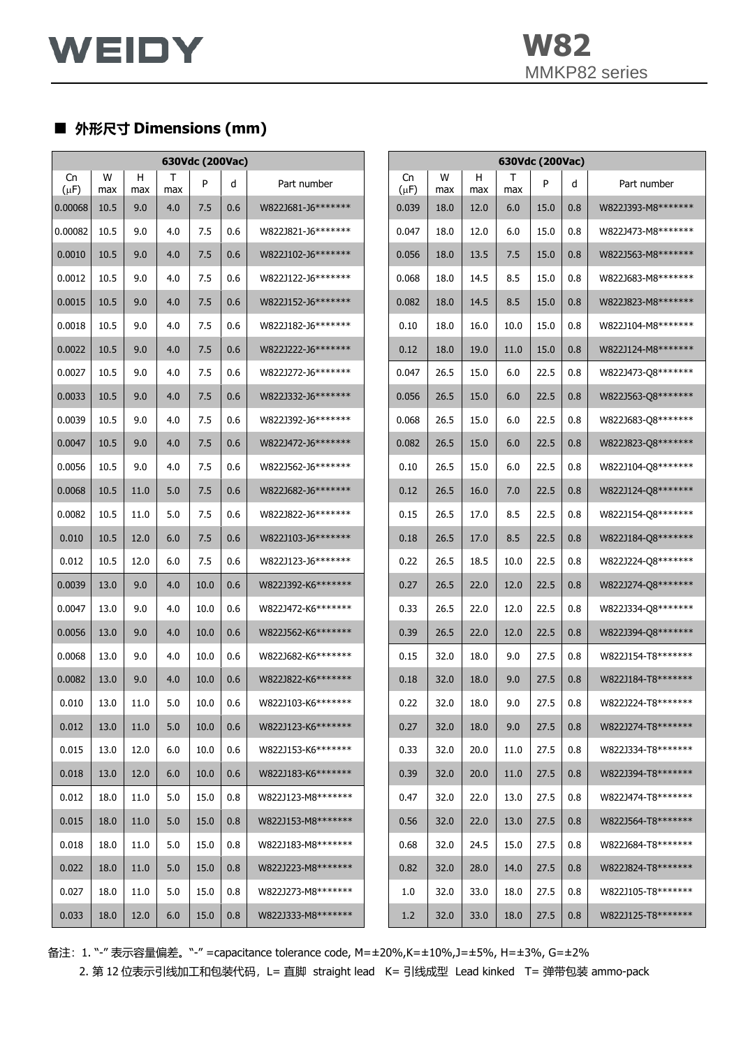

## ■ **外形尺寸 Dimensions (mm)**

| 630Vdc (200Vac) |          |          |          |      |     |                    |                 |          |          | 630Vdc (200Vac) |      |     |                    |
|-----------------|----------|----------|----------|------|-----|--------------------|-----------------|----------|----------|-----------------|------|-----|--------------------|
| Cn<br>$(\mu F)$ | W<br>max | н<br>max | Τ<br>max | P    | d   | Part number        | Cn<br>$(\mu F)$ | W<br>max | н<br>max | Т<br>max        | P    | d   | Part number        |
| 0.00068         | 10.5     | 9.0      | 4.0      | 7.5  | 0.6 | W822J681-J6******* | 0.039           | 18.0     | 12.0     | 6.0             | 15.0 | 0.8 | W822J393-M8******* |
| 0.00082         | 10.5     | 9.0      | 4.0      | 7.5  | 0.6 | W822J821-J6******* | 0.047           | 18.0     | 12.0     | 6.0             | 15.0 | 0.8 | W822J473-M8******* |
| 0.0010          | 10.5     | 9.0      | 4.0      | 7.5  | 0.6 | W822J102-J6******* | 0.056           | 18.0     | 13.5     | 7.5             | 15.0 | 0.8 | W822J563-M8******* |
| 0.0012          | 10.5     | 9.0      | 4.0      | 7.5  | 0.6 | W822J122-J6******* | 0.068           | 18.0     | 14.5     | 8.5             | 15.0 | 0.8 | W822J683-M8******* |
| 0.0015          | 10.5     | 9.0      | 4.0      | 7.5  | 0.6 | W822J152-J6******* | 0.082           | 18.0     | 14.5     | 8.5             | 15.0 | 0.8 | W822J823-M8******* |
| 0.0018          | 10.5     | 9.0      | 4.0      | 7.5  | 0.6 | W822J182-J6******* | 0.10            | 18.0     | 16.0     | 10.0            | 15.0 | 0.8 | W822J104-M8******* |
| 0.0022          | 10.5     | 9.0      | 4.0      | 7.5  | 0.6 | W822J222-J6******* | 0.12            | 18.0     | 19.0     | 11.0            | 15.0 | 0.8 | W822J124-M8******* |
| 0.0027          | 10.5     | 9.0      | 4.0      | 7.5  | 0.6 | W822J272-J6******* | 0.047           | 26.5     | 15.0     | 6.0             | 22.5 | 0.8 | W822J473-Q8******* |
| 0.0033          | 10.5     | 9.0      | 4.0      | 7.5  | 0.6 | W822J332-J6******* | 0.056           | 26.5     | 15.0     | 6.0             | 22.5 | 0.8 | W822J563-Q8******* |
| 0.0039          | 10.5     | 9.0      | 4.0      | 7.5  | 0.6 | W822J392-J6******* | 0.068           | 26.5     | 15.0     | 6.0             | 22.5 | 0.8 | W822J683-Q8******* |
| 0.0047          | 10.5     | 9.0      | 4.0      | 7.5  | 0.6 | W822J472-J6******* | 0.082           | 26.5     | 15.0     | 6.0             | 22.5 | 0.8 | W822J823-Q8******* |
| 0.0056          | 10.5     | 9.0      | 4.0      | 7.5  | 0.6 | W822J562-J6******* | 0.10            | 26.5     | 15.0     | 6.0             | 22.5 | 0.8 | W822J104-Q8******* |
| 0.0068          | 10.5     | 11.0     | 5.0      | 7.5  | 0.6 | W822J682-J6******* | 0.12            | 26.5     | 16.0     | 7.0             | 22.5 | 0.8 | W822J124-Q8******* |
| 0.0082          | 10.5     | 11.0     | 5.0      | 7.5  | 0.6 | W822J822-J6******* | 0.15            | 26.5     | 17.0     | 8.5             | 22.5 | 0.8 | W822J154-Q8******* |
| 0.010           | 10.5     | 12.0     | 6.0      | 7.5  | 0.6 | W822J103-J6******* | 0.18            | 26.5     | 17.0     | 8.5             | 22.5 | 0.8 | W822J184-Q8******* |
| 0.012           | 10.5     | 12.0     | 6.0      | 7.5  | 0.6 | W822J123-J6******* | 0.22            | 26.5     | 18.5     | 10.0            | 22.5 | 0.8 | W822J224-Q8******* |
| 0.0039          | 13.0     | 9.0      | 4.0      | 10.0 | 0.6 | W822J392-K6******* | 0.27            | 26.5     | 22.0     | 12.0            | 22.5 | 0.8 | W822J274-Q8******* |
| 0.0047          | 13.0     | 9.0      | 4.0      | 10.0 | 0.6 | W822J472-K6******* | 0.33            | 26.5     | 22.0     | 12.0            | 22.5 | 0.8 | W822J334-Q8******* |
| 0.0056          | 13.0     | 9.0      | 4.0      | 10.0 | 0.6 | W822J562-K6******* | 0.39            | 26.5     | 22.0     | 12.0            | 22.5 | 0.8 | W822J394-Q8******* |
| 0.0068          | 13.0     | 9.0      | 4.0      | 10.0 | 0.6 | W822J682-K6******* | 0.15            | 32.0     | 18.0     | 9.0             | 27.5 | 0.8 | W822J154-T8******* |
| 0.0082          | 13.0     | 9.0      | 4.0      | 10.0 | 0.6 | W822J822-K6******* | 0.18            | 32.0     | 18.0     | 9.0             | 27.5 | 0.8 | W822J184-T8******* |
| 0.010           | 13.0     | 11.0     | 5.0      | 10.0 | 0.6 | W822J103-K6******* | 0.22            | 32.0     | 18.0     | 9.0             | 27.5 | 0.8 | W822J224-T8******* |
| 0.012           | 13.0     | 11.0     | 5.0      | 10.0 | 0.6 | W822J123-K6******* | 0.27            | 32.0     | 18.0     | 9.0             | 27.5 | 0.8 | W822J274-T8******* |
| 0.015           | 13.0     | 12.0     | 6.0      | 10.0 | 0.6 | W822J153-K6******* | 0.33            | 32.0     | 20.0     | 11.0            | 27.5 | 0.8 | W822J334-T8******* |
| 0.018           | 13.0     | 12.0     | 6.0      | 10.0 | 0.6 | W822J183-K6******* | 0.39            | 32.0     | 20.0     | 11.0            | 27.5 | 0.8 | W822J394-T8******* |
| 0.012           | 18.0     | 11.0     | 5.0      | 15.0 | 0.8 | W822J123-M8******* | 0.47            | 32.0     | 22.0     | 13.0            | 27.5 | 0.8 | W822J474-T8******* |
| 0.015           | 18.0     | 11.0     | 5.0      | 15.0 | 0.8 | W822J153-M8******* | 0.56            | 32.0     | 22.0     | 13.0            | 27.5 | 0.8 | W822J564-T8******* |
| 0.018           | 18.0     | 11.0     | 5.0      | 15.0 | 0.8 | W822J183-M8******* | 0.68            | 32.0     | 24.5     | 15.0            | 27.5 | 0.8 | W822J684-T8******* |
| 0.022           | 18.0     | 11.0     | 5.0      | 15.0 | 0.8 | W822J223-M8******* | 0.82            | 32.0     | 28.0     | 14.0            | 27.5 | 0.8 | W822J824-T8******* |
| 0.027           | 18.0     | 11.0     | 5.0      | 15.0 | 0.8 | W822J273-M8******* | 1.0             | 32.0     | 33.0     | 18.0            | 27.5 | 0.8 | W822J105-T8******* |
| 0.033           | 18.0     | 12.0     | 6.0      | 15.0 | 0.8 | W822J333-M8******* | 1.2             | 32.0     | 33.0     | 18.0            | 27.5 | 0.8 | W822J125-T8******* |

备注:1. "-" 表示容量偏差。"-" =capacitance tolerance code, M=±20%,K=±10%,J=±5%, H=±3%, G=±2%

2. 第 12 位表示引线加工和包装代码, L= 直脚 straight lead K= 引线成型 Lead kinked T= 弹带包装 ammo-pack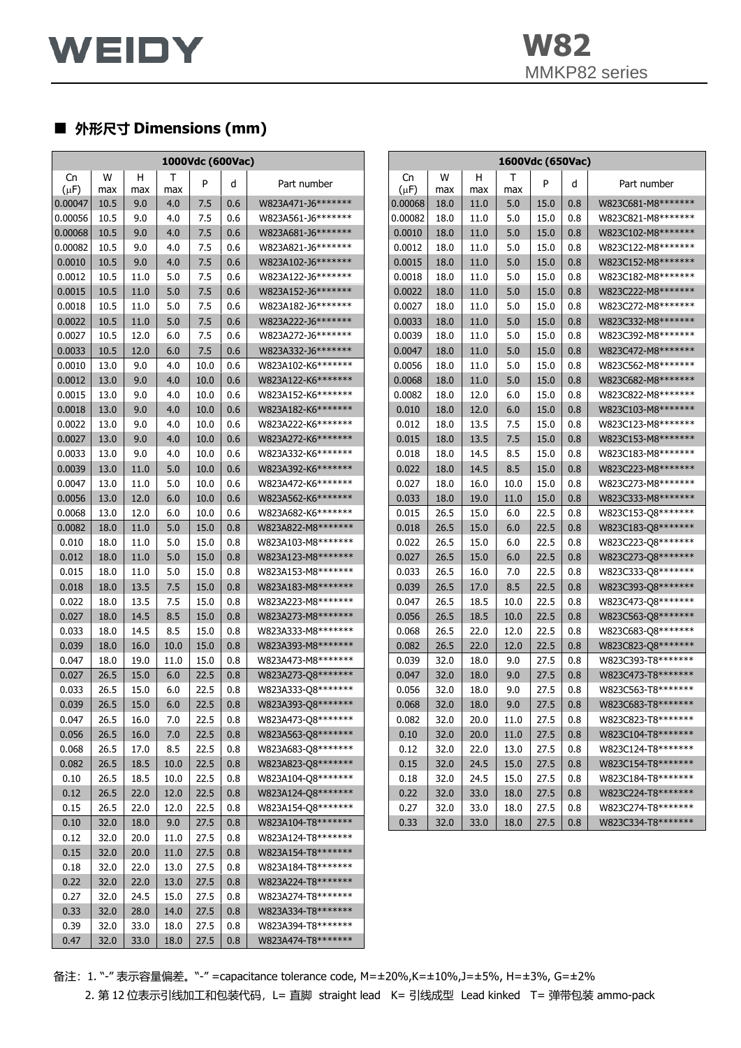

# ■ **外形尺寸 Dimensions (mm)**

| 1000Vdc (600Vac) |      |      |      |      |         |                    |           |      |      | 1600Vdc (650Vac) |      |     |                    |
|------------------|------|------|------|------|---------|--------------------|-----------|------|------|------------------|------|-----|--------------------|
| Cn               | W    | н    | Τ    |      |         |                    | Cn        | W    | н    | Τ                |      |     |                    |
| $(\mu F)$        | max  | max  | max  | P    | d       | Part number        | $(\mu F)$ | max  | max  | max              | P    | d   | Part number        |
| 0.00047          | 10.5 | 9.0  | 4.0  | 7.5  | 0.6     | W823A471-J6******* | 0.00068   | 18.0 | 11.0 | 5.0              | 15.0 | 0.8 | W823C681-M8******* |
| 0.00056          | 10.5 | 9.0  | 4.0  | 7.5  | 0.6     | W823A561-J6******* | 0.00082   | 18.0 | 11.0 | 5.0              | 15.0 | 0.8 | W823C821-M8******* |
| 0.00068          | 10.5 | 9.0  | 4.0  | 7.5  | 0.6     | W823A681-J6******* | 0.0010    | 18.0 | 11.0 | 5.0              | 15.0 | 0.8 | W823C102-M8******* |
| 0.00082          | 10.5 | 9.0  | 4.0  | 7.5  | 0.6     | W823A821-J6******* | 0.0012    | 18.0 | 11.0 | 5.0              | 15.0 | 0.8 | W823C122-M8******* |
| 0.0010           | 10.5 | 9.0  | 4.0  | 7.5  | 0.6     | W823A102-J6******* | 0.0015    | 18.0 | 11.0 | 5.0              | 15.0 | 0.8 | W823C152-M8******* |
| 0.0012           | 10.5 | 11.0 | 5.0  | 7.5  | 0.6     | W823A122-J6******* | 0.0018    | 18.0 | 11.0 | 5.0              | 15.0 | 0.8 | W823C182-M8******* |
| 0.0015           | 10.5 | 11.0 | 5.0  | 7.5  | 0.6     | W823A152-J6******* | 0.0022    | 18.0 | 11.0 | 5.0              | 15.0 | 0.8 | W823C222-M8******* |
| 0.0018           | 10.5 | 11.0 | 5.0  | 7.5  | 0.6     | W823A182-J6******* | 0.0027    | 18.0 | 11.0 | 5.0              | 15.0 | 0.8 | W823C272-M8******* |
| 0.0022           | 10.5 | 11.0 | 5.0  | 7.5  | 0.6     | W823A222-J6******* | 0.0033    | 18.0 | 11.0 | 5.0              | 15.0 | 0.8 | W823C332-M8******* |
| 0.0027           | 10.5 | 12.0 | 6.0  | 7.5  | 0.6     | W823A272-J6******* | 0.0039    | 18.0 | 11.0 | 5.0              | 15.0 | 0.8 | W823C392-M8******* |
| 0.0033           | 10.5 | 12.0 | 6.0  | 7.5  | 0.6     | W823A332-J6******* | 0.0047    | 18.0 | 11.0 | 5.0              | 15.0 | 0.8 | W823C472-M8******* |
| 0.0010           | 13.0 | 9.0  | 4.0  | 10.0 | 0.6     | W823A102-K6******* | 0.0056    | 18.0 | 11.0 | 5.0              | 15.0 | 0.8 | W823C562-M8******* |
| 0.0012           | 13.0 | 9.0  | 4.0  | 10.0 | 0.6     | W823A122-K6******* | 0.0068    | 18.0 | 11.0 | 5.0              | 15.0 | 0.8 | W823C682-M8******* |
| 0.0015           | 13.0 | 9.0  | 4.0  | 10.0 | 0.6     | W823A152-K6******* | 0.0082    | 18.0 | 12.0 | 6.0              | 15.0 | 0.8 | W823C822-M8******* |
| 0.0018           | 13.0 | 9.0  | 4.0  | 10.0 | 0.6     | W823A182-K6******* | 0.010     | 18.0 | 12.0 | 6.0              | 15.0 | 0.8 | W823C103-M8******* |
| 0.0022           | 13.0 | 9.0  | 4.0  | 10.0 | 0.6     | W823A222-K6******* | 0.012     | 18.0 | 13.5 | 7.5              | 15.0 | 0.8 | W823C123-M8******* |
| 0.0027           | 13.0 | 9.0  | 4.0  | 10.0 | 0.6     | W823A272-K6******* | 0.015     | 18.0 | 13.5 | 7.5              | 15.0 | 0.8 | W823C153-M8******* |
| 0.0033           | 13.0 | 9.0  | 4.0  | 10.0 | 0.6     | W823A332-K6******* | 0.018     | 18.0 | 14.5 | 8.5              | 15.0 | 0.8 | W823C183-M8******* |
| 0.0039           | 13.0 | 11.0 | 5.0  | 10.0 | 0.6     | W823A392-K6******* | 0.022     | 18.0 | 14.5 | 8.5              | 15.0 | 0.8 | W823C223-M8******* |
| 0.0047           | 13.0 | 11.0 | 5.0  | 10.0 | 0.6     | W823A472-K6******* | 0.027     | 18.0 | 16.0 | 10.0             | 15.0 | 0.8 | W823C273-M8******* |
| 0.0056           | 13.0 | 12.0 | 6.0  | 10.0 | 0.6     | W823A562-K6******* | 0.033     | 18.0 | 19.0 | 11.0             | 15.0 | 0.8 | W823C333-M8******* |
| 0.0068           | 13.0 | 12.0 | 6.0  | 10.0 | 0.6     | W823A682-K6******* | 0.015     | 26.5 | 15.0 | 6.0              | 22.5 | 0.8 | W823C153-Q8******* |
| 0.0082           | 18.0 | 11.0 | 5.0  | 15.0 | 0.8     | W823A822-M8******* | 0.018     | 26.5 | 15.0 | 6.0              | 22.5 | 0.8 | W823C183-Q8******* |
| 0.010            | 18.0 | 11.0 | 5.0  | 15.0 | 0.8     | W823A103-M8******* | 0.022     | 26.5 | 15.0 | 6.0              | 22.5 | 0.8 | W823C223-Q8******* |
| 0.012            | 18.0 | 11.0 | 5.0  | 15.0 | 0.8     | W823A123-M8******* | 0.027     | 26.5 | 15.0 | 6.0              | 22.5 | 0.8 | W823C273-Q8******* |
| 0.015            | 18.0 | 11.0 | 5.0  | 15.0 | 0.8     | W823A153-M8******* | 0.033     | 26.5 | 16.0 | 7.0              | 22.5 | 0.8 | W823C333-Q8******* |
| 0.018            | 18.0 | 13.5 | 7.5  | 15.0 | 0.8     | W823A183-M8******* | 0.039     | 26.5 | 17.0 | 8.5              | 22.5 | 0.8 | W823C393-Q8******* |
| 0.022            | 18.0 | 13.5 | 7.5  | 15.0 | 0.8     | W823A223-M8******* | 0.047     | 26.5 | 18.5 | 10.0             | 22.5 | 0.8 | W823C473-Q8******* |
| 0.027            | 18.0 | 14.5 | 8.5  | 15.0 | 0.8     | W823A273-M8******* | 0.056     | 26.5 | 18.5 | 10.0             | 22.5 | 0.8 | W823C563-Q8******* |
| 0.033            | 18.0 | 14.5 | 8.5  | 15.0 | 0.8     | W823A333-M8******* | 0.068     | 26.5 | 22.0 | 12.0             | 22.5 | 0.8 | W823C683-Q8******* |
| 0.039            | 18.0 | 16.0 | 10.0 | 15.0 | 0.8     | W823A393-M8******* | 0.082     | 26.5 | 22.0 | 12.0             | 22.5 | 0.8 | W823C823-Q8******* |
| 0.047            | 18.0 | 19.0 | 11.0 | 15.0 | 0.8     | W823A473-M8******* | 0.039     | 32.0 | 18.0 | 9.0              | 27.5 | 0.8 | W823C393-T8******* |
| 0.027            | 26.5 | 15.0 | 6.0  | 22.5 | 0.8     | W823A273-Q8******* | 0.047     | 32.0 | 18.0 | 9.0              | 27.5 | 0.8 | W823C473-T8******* |
| 0.033            | 26.5 | 15.0 | 6.0  | 22.5 | 0.8     | W823A333-Q8******* | 0.056     | 32.0 | 18.0 | 9.0              | 27.5 | 0.8 | W823C563-T8******* |
| 0.039            | 26.5 | 15.0 | 6.0  | 22.5 | $0.8\,$ | W823A393-Q8******* | 0.068     | 32.0 | 18.0 | 9.0              | 27.5 | 0.8 | W823C683-T8******* |
| 0.047            | 26.5 | 16.0 | 7.0  | 22.5 | 0.8     | W823A473-Q8******* | 0.082     | 32.0 | 20.0 | 11.0             | 27.5 | 0.8 | W823C823-T8******* |
| 0.056            | 26.5 | 16.0 | 7.0  | 22.5 | 0.8     | W823A563-Q8******* | 0.10      | 32.0 | 20.0 | 11.0             | 27.5 | 0.8 | W823C104-T8******* |
| 0.068            | 26.5 | 17.0 | 8.5  | 22.5 | 0.8     | W823A683-Q8******* | 0.12      | 32.0 | 22.0 | 13.0             | 27.5 | 0.8 | W823C124-T8******* |
| 0.082            | 26.5 | 18.5 | 10.0 | 22.5 | 0.8     | W823A823-Q8******* | 0.15      | 32.0 | 24.5 | 15.0             | 27.5 | 0.8 | W823C154-T8******* |
| 0.10             | 26.5 | 18.5 | 10.0 | 22.5 | 0.8     | W823A104-Q8******* | 0.18      | 32.0 | 24.5 | 15.0             | 27.5 | 0.8 | W823C184-T8******* |
| 0.12             | 26.5 | 22.0 | 12.0 | 22.5 | 0.8     | W823A124-Q8******* | 0.22      | 32.0 | 33.0 | 18.0             | 27.5 | 0.8 | W823C224-T8******* |
| 0.15             | 26.5 | 22.0 | 12.0 | 22.5 | 0.8     | W823A154-Q8******* | 0.27      | 32.0 | 33.0 | 18.0             | 27.5 | 0.8 | W823C274-T8******* |
| 0.10             | 32.0 | 18.0 | 9.0  | 27.5 | 0.8     | W823A104-T8******* | 0.33      | 32.0 | 33.0 | 18.0             | 27.5 | 0.8 | W823C334-T8******* |
| 0.12             | 32.0 | 20.0 | 11.0 | 27.5 | 0.8     | W823A124-T8******* |           |      |      |                  |      |     |                    |
| 0.15             | 32.0 | 20.0 | 11.0 | 27.5 | 0.8     | W823A154-T8******* |           |      |      |                  |      |     |                    |
| 0.18             | 32.0 | 22.0 | 13.0 | 27.5 | 0.8     | W823A184-T8******* |           |      |      |                  |      |     |                    |
| 0.22             | 32.0 | 22.0 | 13.0 | 27.5 | 0.8     | W823A224-T8******* |           |      |      |                  |      |     |                    |
| 0.27             | 32.0 | 24.5 | 15.0 | 27.5 | 0.8     | W823A274-T8******* |           |      |      |                  |      |     |                    |
| 0.33             | 32.0 | 28.0 | 14.0 | 27.5 | 0.8     | W823A334-T8******* |           |      |      |                  |      |     |                    |
| 0.39             | 32.0 | 33.0 | 18.0 | 27.5 | 0.8     | W823A394-T8******* |           |      |      |                  |      |     |                    |
| 0.47             | 32.0 | 33.0 | 18.0 | 27.5 | 0.8     | W823A474-T8******* |           |      |      |                  |      |     |                    |

备注:1. "-" 表示容量偏差。"-" =capacitance tolerance code, M=±20%,K=±10%,J=±5%, H=±3%, G=±2% 2. 第 12 位表示引线加工和包装代码, L= 直脚 straight lead K= 引线成型 Lead kinked T= 弹带包装 ammo-pack